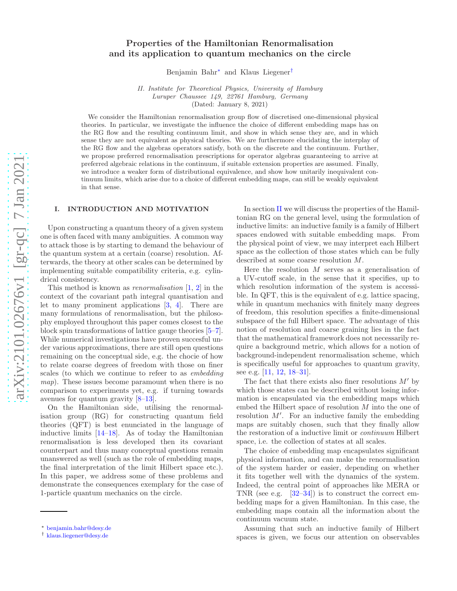# Properties of the Hamiltonian Renormalisation and its application to quantum mechanics on the circle

Benjamin Bahr [∗](#page-0-0) and Klaus Liegener [†](#page-0-1)

*II. Institute for Theoretical Physics, University of Hamburg Luruper Chaussee 149, 22761 Hamburg, Germany* (Dated: January 8, 2021)

We consider the Hamiltonian renormalisation group flow of discretised one-dimensional physical theories. In particular, we investigate the influence the choice of different embedding maps has on the RG flow and the resulting continuum limit, and show in which sense they are, and in which sense they are not equivalent as physical theories. We are furthermore elucidating the interplay of the RG flow and the algebras operators satisfy, both on the discrete and the continuum. Further, we propose preferred renormalisation prescriptions for operator algebras guaranteeing to arrive at preferred algebraic relations in the continuum, if suitable extension properties are assumed. Finally, we introduce a weaker form of distributional equivalence, and show how unitarily inequivalent continuum limits, which arise due to a choice of different embedding maps, can still be weakly equivalent in that sense.

### I. INTRODUCTION AND MOTIVATION

Upon constructing a quantum theory of a given system one is often faced with many ambiguities. A common way to attack those is by starting to demand the behaviour of the quantum system at a certain (coarse) resolution. Afterwards, the theory at other scales can be determined by implementing suitable compatibility criteria, e.g. cylindrical consistency.

This method is known as *renormalisation*  $[1, 2]$  $[1, 2]$  $[1, 2]$  $[1, 2]$  $[1, 2]$  in the context of the covariant path integral quantisation and let to many prominent applications [ [3](#page-14-2) , [4](#page-14-3)]. There are many formulations of renormalisation, but the philosophy employed throughout this paper comes closest to the block spin transformations of lattice gauge theories [ [5](#page-14-4) – [7\]](#page-14-5). While numerical investigations have proven succesful under various approximations, there are still open questions remaining on the conceptual side, e.g. the chocie of how to relate coarse degrees of freedom with those on finer scales (to which we continue to refeer to as embedding map). These issues become paramount when there is no comparison to experiments yet, e.g. if turning towards avenues for quantum gravity [ [8](#page-14-6) [–13\]](#page-14-7).

On the Hamiltonian side, utilising the renormalisation group (RG) for constructing quantum field theories (QFT) is best enunciated in the language of inductive limits [\[14](#page-14-8) [–18](#page-14-9)]. As of today the Hamiltonian renormalisation is less developed then its covariant counterpart and thus many conceptual questions remain unanswered as well (such as the role of embedding maps, the final interpretation of the limit Hilbert space etc.). In this paper, we address some of these problems and demonstrate the consequences exemplary for the case of 1-particle quantum mechanics on the circle.

In section [II](#page-1-0) we will discuss the properties of the Hamiltonian RG on the general level, using the formulation of inductive limits: an inductive family is a family of Hilbert spaces endowed with suitable embedding maps. From the physical point of view, we may interpret each Hilbert space as the collection of those states which can be fully described at some coarse resolution M .

Here the resolution  $M$  serves as a generalisation of a UV-cutoff scale, in the sense that it specifies, up to which resolution information of the system is accessible. In QFT, this is the equivalent of e.g. lattice spacing, while in quantum mechanics with finitely many degrees of freedom, this resolution specifies a finite-dimensional subspace of the full Hilbert space. The advantage of this notion of resolution and coarse graining lies in the fact that the mathematical framework does not necessarily require a background metric, which allows for a notion of background-independent renormalisation scheme, which is specifically useful for approaches to quantum gravity, see e.g. [\[11](#page-14-10), [12](#page-14-11), [18](#page-14-9)[–31](#page-14-12)].

The fact that there exists also finer resolutions  $M'$  by which those states can be described without losing information is encapsulated via the embedding maps which embed the Hilbert space of resolution M into the one of resolution  $M'$ . For an inductive family the embedding maps are suitably chosen, such that they finally allow the restoration of a inductive limit or continuum Hilbert space, i.e. the collection of states at all scales.

The choice of embedding map encapsulates significant physical information, and can make the renormalisation of the system harder or easier, depending on whether it fits together well with the dynamics of the system. Indeed, the central point of approaches like MERA or TNR (see e.g. [\[32](#page-14-13) [–34](#page-15-0)]) is to construct the correct embedding maps for a given Hamiltonian. In this case, the embedding maps contain all the information about the continuum vacuum state.

Assuming that such an inductive family of Hilbert spaces is given, we focus our attention on observables

<span id="page-0-0"></span><sup>∗</sup> [benjamin.bahr@desy.de](mailto:benjamin.bahr@desy.de)

<span id="page-0-1"></span><sup>†</sup> [klaus.liegener@desy.de](mailto:klaus.liegener@desy.de)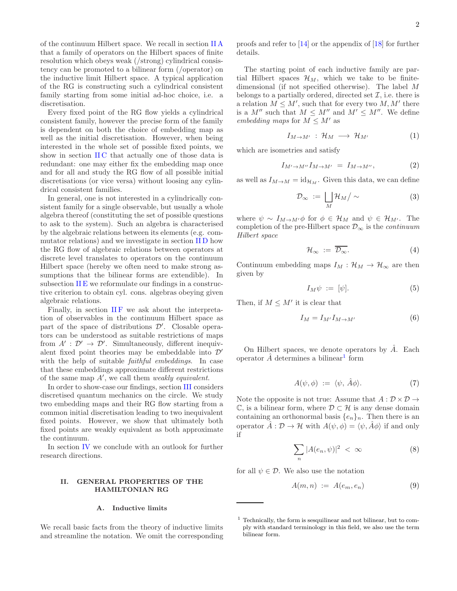of the continuum Hilbert space. We recall in section [II A](#page-1-1) that a family of operators on the Hilbert spaces of finite resolution which obeys weak (/strong) cylindrical consistency can be promoted to a bilinear form (/operator) on the inductive limit Hilbert space. A typical application of the RG is constructing such a cylindrical consistent family starting from some initial ad-hoc choice, i.e. a discretisation.

Every fixed point of the RG flow yields a cylindrical consistent family, however the precise form of the family is dependent on both the choice of embedding map as well as the initial discretisation. However, when being interested in the whole set of possible fixed points, we show in section IIC that actually one of those data is redundant: one may either fix the embedding map once and for all and study the RG flow of all possible initial discretisations (or vice versa) without loosing any cylindrical consistent families.

In general, one is not interested in a cylindrically consistent family for a single observable, but usually a whole algebra thereof (constituting the set of possible questions to ask to the system). Such an algebra is characterised by the algebraic relations between its elements (e.g. commutator relations) and we investigate in section [II D](#page-3-0) how the RG flow of algebraic relations between operators at discrete level translates to operators on the continuum Hilbert space (hereby we often need to make strong assumptions that the bilinear forms are extendible). In subsection [II E](#page-4-0) we reformulate our findings in a constructive criterion to obtain cyl. cons. algebras obeying given algebraic relations.

Finally, in section  $\Pi F$  we ask about the interpretation of observables in the continuum Hilbert space as part of the space of distributions  $\mathcal{D}'$ . Closable operators can be understood as suitable restrictions of maps from  $A' : \mathcal{D}' \to \mathcal{D}'$ . Simultaneously, different inequivalent fixed point theories may be embeddable into  $\mathcal{D}'$ with the help of suitable *faithful embeddings*. In case that these embeddings approximate different restrictions of the same map  $A'$ , we call them *weakly equivalent*.

In order to show-case our findings, section [III](#page-6-0) considers discretised quantum mechanics on the circle. We study two embedding maps and their RG flow starting from a common initial discretisation leading to two inequivalent fixed points. However, we show that ultimately both fixed points are weakly equivalent as both approximate the continuum.

In section [IV](#page-12-0) we conclude with an outlook for further research directions.

### <span id="page-1-0"></span>II. GENERAL PROPERTIES OF THE HAMILTONIAN RG

### <span id="page-1-1"></span>A. Inductive limits

We recall basic facts from the theory of inductive limits and streamline the notation. We omit the corresponding

proofs and refer to [\[14\]](#page-14-8) or the appendix of [\[18\]](#page-14-9) for further details.

The starting point of each inductive family are partial Hilbert spaces  $\mathcal{H}_M$ , which we take to be finitedimensional (if not specified otherwise). The label M belongs to a partially ordered, directed set  $\mathcal{I}$ , i.e. there is a relation  $M \leq M'$ , such that for every two  $M, M'$  there is a  $M''$  such that  $M \leq M''$  and  $M' \leq M''$ . We define embedding maps for  $M \leq M'$  as

$$
I_{M \to M'} : \mathcal{H}_M \longrightarrow \mathcal{H}_{M'} \tag{1}
$$

which are isometries and satisfy

$$
I_{M' \to M''} I_{M \to M'} = I_{M \to M''}, \tag{2}
$$

as well as  $I_{M\to M} = id_{\mathcal{H}_M}$ . Given this data, we can define

$$
\mathcal{D}_{\infty} := \bigsqcup_{M} \mathcal{H}_{M} / \sim \tag{3}
$$

where  $\psi \sim I_{M \to M'} \phi$  for  $\phi \in \mathcal{H}_M$  and  $\psi \in \mathcal{H}_{M'}$ . The completion of the pre-Hilbert space  $\mathcal{D}_{\infty}$  is the *continuum* Hilbert space

<span id="page-1-4"></span>
$$
\mathcal{H}_{\infty} := \overline{\mathcal{D}_{\infty}}.\tag{4}
$$

Continuum embedding maps  $I_M : \mathcal{H}_M \to \mathcal{H}_{\infty}$  are then given by

$$
I_M \psi := [\psi]. \tag{5}
$$

Then, if  $M \leq M'$  it is clear that

$$
I_M = I_{M'} I_{M \to M'} \tag{6}
$$

On Hilbert spaces, we denote operators by  $\tilde{A}$ . Each operator  $\hat{A}$  determines a bilinear<sup>[1](#page-1-2)</sup> form

$$
A(\psi, \phi) := \langle \psi, \hat{A}\phi \rangle. \tag{7}
$$

Note the opposite is not true: Assume that  $A: \mathcal{D} \times \mathcal{D} \rightarrow$  $\mathbb{C}$ , is a bilinear form, where  $\mathcal{D} \subset \mathcal{H}$  is any dense domain containing an orthonormal basis  ${e_n}_n$ . Then there is an operator  $\hat{A}: \mathcal{D} \to \mathcal{H}$  with  $A(\psi, \phi) = \langle \psi, \hat{A}\phi \rangle$  if and only if

<span id="page-1-3"></span>
$$
\sum_{n} |A(e_n, \psi)|^2 < \infty \tag{8}
$$

for all  $\psi \in \mathcal{D}$ . We also use the notation

$$
A(m,n) := A(e_m, e_n) \tag{9}
$$

<span id="page-1-2"></span><sup>1</sup> Technically, the form is sesquilinear and not bilinear, but to comply with standard terminology in this field, we also use the term bilinear form.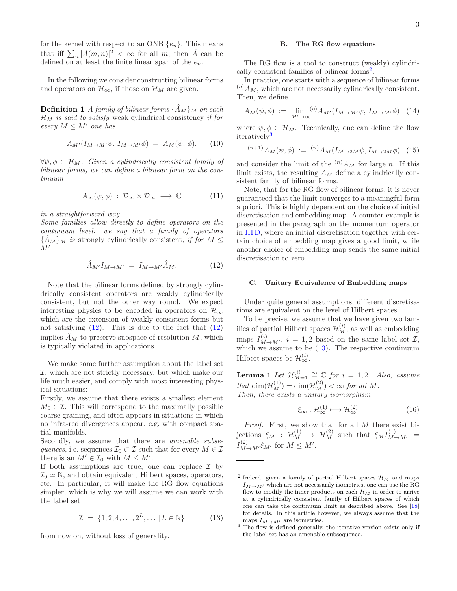for the kernel with respect to an ONB  $\{e_n\}$ . This means that iff  $\sum_{n} |A(m, n)|^2 < \infty$  for all m, then  $\hat{A}$  can be defined on at least the finite linear span of the  $e_n$ .

In the following we consider constructing bilinear forms and operators on  $\mathcal{H}_{\infty}$ , if those on  $\mathcal{H}_M$  are given.

**Definition 1** A family of bilinear forms  $\{\hat{A}_M\}$  on each  $\mathcal{H}_M$  is said to satisfy weak cylindrical consistency if for every  $M \leq M'$  one has

<span id="page-2-5"></span>
$$
A_{M'}(I_{M \to M'}\psi, I_{M \to M'}\phi) = A_M(\psi, \phi).
$$
 (10)

 $\forall \psi, \phi \in \mathcal{H}_M$ . Given a cylindrically consistent family of bilinear forms, we can define a bilinear form on the continuum

$$
A_{\infty}(\psi, \phi) : \mathcal{D}_{\infty} \times \mathcal{D}_{\infty} \longrightarrow \mathbb{C} \tag{11}
$$

in a straightforward way.

Some families allow directly to define operators on the continuum level: we say that a family of operators  ${\{\hat{A}_M\}}_M$  is strongly cylindrically consistent, if for  $M \leq$  $M'$ 

<span id="page-2-1"></span>
$$
\hat{A}_{M'} I_{M \to M'} = I_{M \to M'} \hat{A}_M. \tag{12}
$$

Note that the bilinear forms defined by strongly cylindrically consistent operators are weakly cylindrically consistent, but not the other way round. We expect interesting physics to be encoded in operators on  $\mathcal{H}_{\infty}$ which are the extension of weakly consistent forms but not satisfying  $(12)$ . This is due to the fact that  $(12)$ implies  $\hat{A}_M$  to preserve subspace of resolution M, which is typically violated in applications.

We make some further assumption about the label set I, which are not strictly necessary, but which make our life much easier, and comply with most interesting physical situations:

Firstly, we assume that there exists a smallest element  $M_0 \in \mathcal{I}$ . This will correspond to the maximally possible coarse graining, and often appears in situations in which no infra-red divergences appear, e.g. with compact spatial manifolds.

Secondly, we assume that there are *amenable subse*quences, i.e. sequences  $\mathcal{I}_0 \subset \mathcal{I}$  such that for every  $M \in \mathcal{I}$ there is an  $M' \in \mathcal{I}_0$  with  $M \leq M'$ .

If both assumptions are true, one can replace  $\mathcal I$  by  $\mathcal{I}_0 \simeq \mathbb{N}$ , and obtain equivalent Hilbert spaces, operators, etc. In particular, it will make the RG flow equations simpler, which is why we will assume we can work with the label set

<span id="page-2-4"></span>
$$
\mathcal{I} = \{1, 2, 4, \dots, 2^{L}, \dots | L \in \mathbb{N}\}\
$$
 (13)

from now on, without loss of generality.

#### <span id="page-2-7"></span>B. The RG flow equations

The RG flow is a tool to construct (weakly) cylindri-cally consistent families of bilinear forms<sup>[2](#page-2-2)</sup>.

In practice, one starts with a sequence of bilinear forms  $^{(o)}A_M$ , which are not necessarily cylindrically consistent. Then, we define

<span id="page-2-6"></span>
$$
A_M(\psi, \phi) := \lim_{M' \to \infty} {^{(o)}A_{M'}(I_{M \to M'}\psi, I_{M \to M'}\phi)} \quad (14)
$$

where  $\psi, \phi \in \mathcal{H}_M$ . Technically, one can define the flow iteratively<sup>[3](#page-2-3)</sup>

$$
^{(n+1)}A_M(\psi,\phi) := {}^{(n)}A_M(I_{M \to 2M}\psi, I_{M \to 2M}\phi) \tag{15}
$$

and consider the limit of the  $(n)A_M$  for large n. If this limit exists, the resulting  $A_M$  define a cylindrically consistent family of bilinear forms.

Note, that for the RG flow of bilinear forms, it is never guaranteed that the limit converges to a meaningful form a priori. This is highly dependent on the choice of initial discretisation and embedding map. A counter-example is presented in the paragraph on the momentum operator in [III D,](#page-7-0) where an initial discretisation together with certain choice of embedding map gives a good limit, while another choice of embedding map sends the same initial discretisation to zero.

### <span id="page-2-0"></span>C. Unitary Equivalence of Embedding maps

Under quite general assumptions, different discretisations are equivalent on the level of Hilbert spaces.

To be precise, we assume that we have given two families of partial Hilbert spaces  $\mathcal{H}_M^{(i)}$ , as well as embedding maps  $I_{M \to M'}^{(i)}$ ,  $i = 1, 2$  based on the same label set  $\mathcal{I},$ which we assume to be  $(13)$ . The respective continuum Hilbert spaces be  $\mathcal{H}_{\infty}^{(i)}$ .

Lemma 1 Let  $\mathcal{H}_{M}^{(i)}$  $\mathcal{L}_{M=1}^{(i)} \cong \mathbb{C}$  for  $i = 1, 2$ . Also, assume that  $\dim(\mathcal{H}_M^{(1)}) = \dim(\mathcal{H}_M^{(2)}) < \infty$  for all M. Then, there exists a unitary isomorphism

$$
\xi_{\infty} : \mathcal{H}_{\infty}^{(1)} \longmapsto \mathcal{H}_{\infty}^{(2)} \tag{16}
$$

Proof. First, we show that for all M there exist bijections  $\xi_M$  :  $\mathcal{H}_M^{(1)} \rightarrow \mathcal{H}_M^{(2)}$  such that  $\xi_M I_{M \rightarrow M'}^{(1)} =$  $I_{M\to M'}^{(2)}\xi_{M'}$  for  $M\leq M'.$ 

<span id="page-2-2"></span><sup>&</sup>lt;sup>2</sup> Indeed, given a family of partial Hilbert spaces  $\mathcal{H}_M$  and maps  $I_{M\to M'}$  which are not necessarily isometries, one can use the RG flow to modify the inner products on each  $\mathcal{H}_M$  in order to arrive at a cylindrically consistent family of Hilbert spaces of which one can take the continuum limit as described above. See [\[18\]](#page-14-9) for details. In this article however, we always assume that the maps  $I_{M\to M'}$  are isometries.

<span id="page-2-3"></span><sup>&</sup>lt;sup>3</sup> The flow is defined generally, the iterative version exists only if the label set has an amenable subsequence.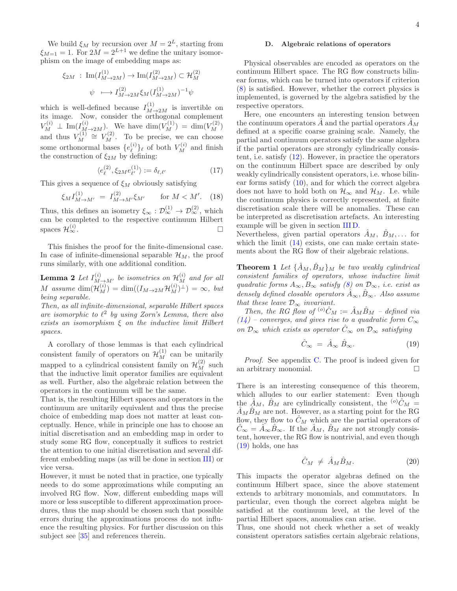We build  $\xi_M$  by recursion over  $M = 2^L$ , starting from  $\xi_{M=1} = 1$ . For  $2M = 2^{L+1}$  we define the unitary isomorphism on the image of embedding maps as:

$$
\xi_{2M} : \operatorname{Im}(I_{M \to 2M}^{(1)}) \to \operatorname{Im}(I_{M \to 2M}^{(2)}) \subset \mathcal{H}_M^{(2)}
$$
  

$$
\psi \longmapsto I_{M \to 2M}^{(2)} \xi_M (I_{M \to 2M}^{(1)})^{-1} \psi
$$

which is well-defined because  $I_{M\to 2M}^{(1)}$  is invertible on its image. Now, consider the orthogonal complement  $V_M^{(i)} \perp \text{Im}(I_{M \to 2M}^{(i)})$ . We have  $\dim(V_M^{(1)}) = \dim(V_M^{(2)})$ and thus  $V_M^{(1)}$  $V_M^{(1)} \cong V_M^{(2)}$ . To be precise, we can choose some orthonormal bases  $\{e_{\ell}^{(i)}\}$  $\binom{i}{\ell}_{\ell}$  of both  $V_M^{(i)}$  and finish the construction of  $\xi_{2M}$  by defining:

$$
\langle e_{\ell}^{(2)}, \xi_{2M} e_{\ell'}^{(1)} \rangle := \delta_{\ell, \ell'} \tag{17}
$$

This gives a sequence of  $\xi_M$  obviously satisfying

$$
\xi_M I_{M \to M'}^{(1)} = I_{M \to M'}^{(2)} \xi_{M'} \quad \text{for } M < M'. \tag{18}
$$

Thus, this defines an isometry  $\xi_{\infty} : \mathcal{D}_{\infty}^{(1)} \to \mathcal{D}_{\infty}^{(2)}$ , which can be completed to the respective continuum Hilbert spaces  $\mathcal{H}^{(i)}_{\infty}$  $\infty$  .

This finishes the proof for the finite-dimensional case. In case of infinite-dimensional separable  $\mathcal{H}_M$ , the proof runs similarly, with one additional condition.

**Lemma 2** Let  $I_{M \to M'}^{(i)}$  be isometries on  $\mathcal{H}_M^{(i)}$  and for all M assume  $\dim(\mathcal{H}_M^{(i)}) = \dim((I_{M \to 2M} \mathcal{H}_M^{(i)})^{\perp}) = \infty$ , but being separable.

Then, as all infinite-dimensional, separable Hilbert spaces are isomorphic to  $\ell^2$  by using Zorn's Lemma, there also exists an isomorphism  $\xi$  on the inductive limit Hilbert spaces.

A corollary of those lemmas is that each cylindrical consistent family of operators on  $\mathcal{H}_M^{(1)}$  can be unitarily mapped to a cylindrical consistent family on  $\mathcal{H}_{M}^{(2)}$  such that the inductive limit operator families are equivalent as well. Further, also the algebraic relation between the operators in the continuum will be the same.

That is, the resulting Hilbert spaces and operators in the continuum are unitarily equivalent and thus the precise choice of embedding map does not matter at least conceptually. Hence, while in principle one has to choose an initial discretisation and an embedding map in order to study some RG flow, conceptually it suffices to restrict the attention to one initial discretisation and several different embedding maps (as will be done in section [III\)](#page-6-0) or vice versa.

However, it must be noted that in practice, one typically needs to do some approximations while computing an involved RG flow. Now, different embedding maps will more or less susceptible to different approximation procedures, thus the map should be chosen such that possible errors during the approximations process do not influence the resulting physics. For further discussion on this subject see [\[35\]](#page-15-1) and references therein.

### <span id="page-3-0"></span>D. Algebraic relations of operators

Physical observables are encoded as operators on the continuum Hilbert space. The RG flow constructs bilinear forms, which can be turned into operators if criterion [\(8\)](#page-1-3) is satisfied. However, whether the correct physics is implemented, is governed by the algebra satisfied by the respective operators.

Here, one encounters an interesting tension between the continuum operators  $\ddot{A}$  and the partial operators  $\ddot{A}_M$ defined at a specific coarse graining scale. Namely, the partial and continuum operators satisfy the same algebra if the partial operators are strongly cylindrically consistent, i.e. satisfy [\(12\)](#page-2-1). However, in practice the operators on the continuum Hilbert space are described by only weakly cylindrically consistent operators, i.e. whose bilinear forms satisfy  $(10)$ , and for which the correct algebra does not have to hold both on  $\mathcal{H}_{\infty}$  and  $\mathcal{H}_{M}$ . I.e. while the continuum physics is correctly represented, at finite discretisation scale there will be anomalies. These can be interpreted as discretisation artefacts. An interesting example will be given in section [III D.](#page-7-0)

Nevertheless, given partial operators  $A_M$ ,  $B_M$ ,... for which the limit  $(14)$  exists, one can make certain statements about the RG flow of their algebraic relations.

<span id="page-3-2"></span>**Theorem 1** Let  $\{\ddot{A}_M, \ddot{B}_M\}$  be two weakly cylindrical consistent families of operators, whose inductive limit quadratic forms  $A_{\infty}, B_{\infty}$  satisfy [\(8\)](#page-1-3) on  $\mathcal{D}_{\infty}$ , i.e. exist as densely defined closable operators  $\hat{A}_{\infty}, \hat{B}_{\infty}$ . Also assume that these leave  $\mathcal{D}_{\infty}$  invariant.

Then, the RG flow of <sup>(o)</sup> $\hat{C}_M := \hat{A}_M \hat{B}_M$  – defined via  $(14)$  – converges, and gives rise to a quadratic form  $C_{\infty}$ on  $\mathcal{D}_{\infty}$  which exists as operator  $\hat{C}_{\infty}$  on  $\mathcal{D}_{\infty}$  satisfying

<span id="page-3-1"></span>
$$
\hat{C}_{\infty} = \hat{A}_{\infty} \hat{B}_{\infty}.
$$
 (19)

Proof. See appendix [C.](#page-13-0) The proof is indeed given for an arbitrary monomial.

There is an interesting consequence of this theorem, which alludes to our earlier statement: Even though the  $\hat{A}_M$ ,  $\hat{B}_M$  are cylindrically consistent, the <sup>(o)</sup> $\hat{C}_M$  =  $\ddot{A}_M \ddot{B}_M$  are not. However, as a starting point for the RG flow, they flow to  $C_M$  which are the partial operators of  $\hat{C}_{\infty} = \hat{A}_{\infty} \hat{B}_{\infty}$ . If the  $\hat{A}_M$ ,  $\hat{B}_M$  are not strongly consistent, however, the RG flow is nontrivial, and even though [\(19\)](#page-3-1) holds, one has

$$
\hat{C}_M \neq \hat{A}_M \hat{B}_M. \tag{20}
$$

This impacts the operator algebras defined on the continuum Hilbert space, since the above statement extends to arbitrary monomials, and commutators. In particular, even though the correct algebra might be satisfied at the continuum level, at the level of the partial Hilbert spaces, anomalies can arise.

Thus, one should not check whether a set of weakly consistent operators satisfies certain algebraic relations,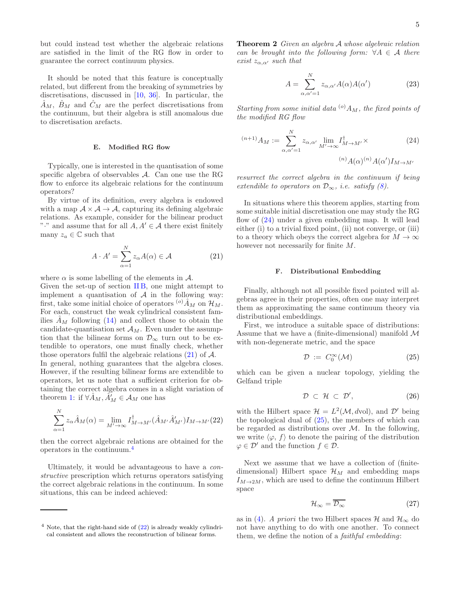but could instead test whether the algebraic relations are satisfied in the limit of the RG flow in order to guarantee the correct continuum physics.

It should be noted that this feature is conceptually related, but different from the breaking of symmetries by discretisations, discussed in [\[10](#page-14-14), [36](#page-15-2)]. In particular, the  $\hat{A}_M$ ,  $\hat{B}_M$  and  $\hat{C}_M$  are the perfect discretisations from the continuum, but their algebra is still anomalous due to discretisation arefacts.

#### <span id="page-4-0"></span>E. Modified RG flow

Typically, one is interested in the quantisation of some specific algebra of observables  $A$ . Can one use the RG flow to enforce its algebraic relations for the continuum operators?

By virtue of its definition, every algebra is endowed with a map  $A \times A \rightarrow A$ , capturing its defining algebraic relations. As example, consider for the bilinear product "." and assume that for all  $A, A' \in \mathcal{A}$  there exist finitely many  $z_a \in \mathbb{C}$  such that

<span id="page-4-2"></span>
$$
A \cdot A' = \sum_{\alpha=1}^{N} z_{\alpha} A(\alpha) \in \mathcal{A}
$$
 (21)

where  $\alpha$  is some labelling of the elements in  $\mathcal{A}$ .

Given the set-up of section [II B,](#page-2-7) one might attempt to implement a quantisation of  $A$  in the following way: first, take some initial choice of operators  $({\circ})\hat{A}_M$  on  $\mathcal{H}_M$ . For each, construct the weak cylindrical consistent families  $A_M$  following [\(14\)](#page-2-6) and collect those to obtain the candidate-quantisation set  $\mathcal{A}_M$ . Even under the assumption that the bilinear forms on  $\mathcal{D}_{\infty}$  turn out to be extendible to operators, one must finally check, whether those operators fulfil the algebraic relations  $(21)$  of A.

In general, nothing guarantees that the algebra closes. However, if the resulting bilinear forms are extendible to operators, let us note that a sufficient criterion for obtaining the correct algebra comes in a slight variation of theorem [1:](#page-3-2) if  $\forall \hat{A}_M, \hat{A}'_M \in \mathcal{A}_M$  one has

<span id="page-4-4"></span>
$$
\sum_{\alpha=1}^{N} z_{\alpha} \hat{A}_{M}(\alpha) = \lim_{M' \to \infty} I_{M \to M'}^{\dagger} (\hat{A}_{M'} \hat{A}'_{M'}) I_{M \to M'}(22)
$$

then the correct algebraic relations are obtained for the operators in the continuum.[4](#page-4-3)

Ultimately, it would be advantageous to have a constructive prescription which returns operators satisfying the correct algebraic relations in the continuum. In some situations, this can be indeed achieved:

**Theorem 2** Given an algebra A whose algebraic relation can be brought into the following form:  $\forall A \in \mathcal{A}$  there exist  $z_{\alpha,\alpha'}$  such that

<span id="page-4-5"></span>
$$
A = \sum_{\alpha,\alpha'=1}^{N} z_{\alpha,\alpha'} A(\alpha) A(\alpha')
$$
 (23)

Starting from some initial data  $^{(o)}A_M$ , the fixed points of the modified RG flow

$$
^{(n+1)}A_M := \sum_{\alpha,\alpha'=1}^N z_{\alpha,\alpha'} \lim_{M'\to\infty} I_{M\to M'}^\dagger \times \tag{24}
$$

$$
^{(n)}A(\alpha)^{(n)}A(\alpha')I_{M\to M'}
$$

resurrect the correct algebra in the continuum if being extendible to operators on  $\mathcal{D}_{\infty}$ , i.e. satisfy  $(8)$ .

In situations where this theorem applies, starting from some suitable initial discretisation one may study the RG flow of [\(24\)](#page-4-5) under a given embedding map. It will lead either (i) to a trivial fixed point, (ii) not converge, or (iii) to a theory which obeys the correct algebra for  $M \to \infty$ however not necessarily for finite M.

### <span id="page-4-1"></span>F. Distributional Embedding

Finally, although not all possible fixed pointed will algebras agree in their properties, often one may interpret them as approximating the same continuum theory via distributional embeddings.

First, we introduce a suitable space of distributions: Assume that we have a (finite-dimensional) manifold  $\mathcal M$ with non-degenerate metric, and the space

<span id="page-4-6"></span>
$$
\mathcal{D} := C_0^{\infty}(\mathcal{M}) \tag{25}
$$

which can be given a nuclear topology, yielding the Gelfand triple

$$
\mathcal{D} \subset \mathcal{H} \subset \mathcal{D}',\tag{26}
$$

with the Hilbert space  $\mathcal{H} = L^2(\mathcal{M}, dvol)$ , and  $\mathcal{D}'$  being the topological dual of [\(25\)](#page-4-6), the members of which can be regarded as distributions over  $\mathcal{M}$ . In the following, we write  $\langle \varphi, f \rangle$  to denote the pairing of the distribution  $\varphi \in \mathcal{D}'$  and the function  $f \in \mathcal{D}$ .

Next we assume that we have a collection of (finitedimensional) Hilbert space  $\mathcal{H}_M$  and embedding maps  $I_{M\to 2M}$ , which are used to define the continuum Hilbert space

$$
\mathcal{H}_{\infty} = \overline{\mathcal{D}_{\infty}} \tag{27}
$$

as in [\(4\)](#page-1-4). A priori the two Hilbert spaces H and  $\mathcal{H}_{\infty}$  do not have anything to do with one another. To connect them, we define the notion of a faithful embedding:

<span id="page-4-3"></span> $4$  Note, that the right-hand side of  $(22)$  is already weakly cylindrical consistent and allows the reconstruction of bilinear forms.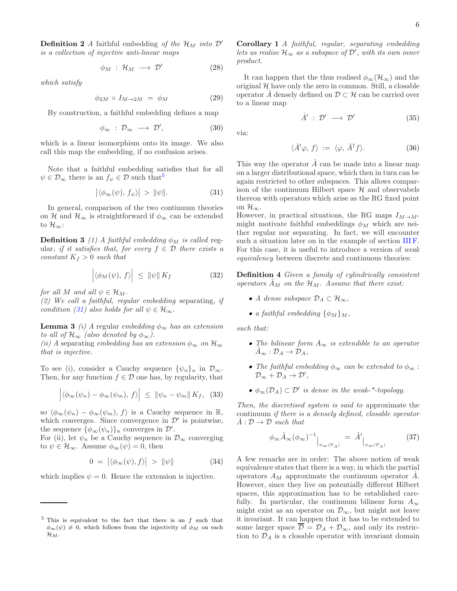**Definition 2** A faithful embedding of the  $\mathcal{H}_M$  into  $\mathcal{D}'$ is a collection of injective anti-linear maps

$$
\phi_M \; : \; \mathcal{H}_M \; \longrightarrow \; \mathcal{D}' \tag{28}
$$

which satisfy

<span id="page-5-2"></span>
$$
\phi_{2M} \circ I_{M \to 2M} = \phi_M \tag{29}
$$

By construction, a faithful embedding defines a map

$$
\phi_{\infty} : \mathcal{D}_{\infty} \longrightarrow \mathcal{D}', \tag{30}
$$

which is a linear isomorphism onto its image. We also call this map the embedding, if no confusion arises.

Note that a faithful embedding satisfies that for all  $\psi \in \mathcal{D}_{\infty}$  there is an  $f_{\psi} \in \mathcal{D}$  such that<sup>[5](#page-5-0)</sup>

<span id="page-5-1"></span>
$$
\left| \langle \phi_{\infty}(\psi), f_{\psi} \rangle \right| > \|\psi\|.
$$
 (31)

In general, comparison of the two continuum theories on H and  $\mathcal{H}_{\infty}$  is straightforward if  $\phi_{\infty}$  can be extended to  $\mathcal{H}_{\infty}$ :

**Definition 3** (1) A faithful embedding  $\phi_M$  is called regular, if it satisfies that, for every  $f \in \mathcal{D}$  there exists a constant  $K_f > 0$  such that

$$
\left| \langle \phi_M(\psi), f \rangle \right| \leq \|\psi\| K_f \tag{32}
$$

for all M and all  $\psi \in \mathcal{H}_M$ .

(2) We call a faithful, regular embedding separating, if condition [\(31\)](#page-5-1) also holds for all  $\psi \in \mathcal{H}_{\infty}$ .

**Lemma 3** (i) A regular embedding  $\phi_{\infty}$  has an extension to all of  $\mathcal{H}_{\infty}$  (also denoted by  $\phi_{\infty}$ ).

(ii) A separating embedding has an extension  $\phi_{\infty}$  on  $\mathcal{H}_{\infty}$ that is injective.

To see (i), consider a Cauchy sequence  $\{\psi_n\}_n$  in  $\mathcal{D}_{\infty}$ . Then, for any function  $f \in \mathcal{D}$  one has, by regularity, that

$$
\left| \langle \phi_{\infty}(\psi_n) - \phi_{\infty}(\psi_m), f \rangle \right| \leq \left| \left| \psi_n - \psi_m \right| \right| K_f, (33)
$$

so  $\langle \phi_{\infty}(\psi_n) - \phi_{\infty}(\psi_m), f \rangle$  is a Cauchy sequence in R, which converges. Since convergence in  $\mathcal{D}'$  is pointwise, the sequence  $\{\phi_{\infty}(\psi_n)\}_n$  converges in  $\mathcal{D}'$ .

For (ii), let  $\psi_n$  be a Cauchy sequence in  $\mathcal{D}_{\infty}$  converging to  $\psi \in \mathcal{H}_{\infty}$ . Assume  $\phi_{\infty}(\psi) = 0$ , then

$$
0 = |\langle \phi_{\infty}(\psi), f \rangle| > \|\psi\| \tag{34}
$$

which implies  $\psi = 0$ . Hence the extension is injective.

Corollary 1 A faithful, regular, separating embedding lets us realise  $\mathcal{H}_{\infty}$  as a subspace of  $\mathcal{D}'$ , with its own inner product.

It can happen that the thus realised  $\phi_{\infty}(\mathcal{H}_{\infty})$  and the original  $H$  have only the zero in common. Still, a closable operator  $\hat{A}$  densely defined on  $\mathcal{D} \subset \mathcal{H}$  can be carried over to a linear map

$$
\hat{A}' : \mathcal{D}' \longrightarrow \mathcal{D}' \tag{35}
$$

via:

$$
\langle \hat{A}'\varphi, f \rangle := \langle \varphi, \hat{A}^{\dagger} f \rangle. \tag{36}
$$

This way the operator  $\hat{A}$  can be made into a linear map on a larger distributional space, which then in turn can be again restricted to other subspaces. This allows comparison of the continuum Hilbert space  $H$  and observabels thereon with operators which arise as the RG fixed point on  $\mathcal{H}_{\infty}$ .

However, in practical situations, the RG maps  $I_{M\to M'}$ might motivate faithful embeddings  $\phi_M$  which are neither regular nor separating. In fact, we will encounter such a situation later on in the example of section [III F.](#page-10-0) For this case, it is useful to introduce a version of weak equivalency between discrete and continuous theories:

<span id="page-5-3"></span>Definition 4 Given a family of cylindrically consistent operators  $\tilde{A}_M$  on the  $\mathcal{H}_M$ . Assume that there exist:

- A dense subspace  $\mathcal{D}_A \subset \mathcal{H}_{\infty}$ ,
- a faithful embedding  $\{\phi_M\}_M$ ,

such that:

- The bilinear form  $A_{\infty}$  is extendible to an operator  $\hat{A}_{\infty}: \mathcal{D}_A \to \mathcal{D}_A,$
- The faithful embedding  $\phi_{\infty}$  can be extended to  $\phi_{\infty}$ :  $\mathcal{D}_{\infty} + \mathcal{D}_A \rightarrow \mathcal{D}',$
- $\phi_{\infty}(\mathcal{D}_A) \subset \mathcal{D}'$  is dense in the weak-\*-topology.

Then, the discretised system is said to approximate the continuum if there is a densely defined, closable operator  $\hat{A}: \mathcal{D} \to \mathcal{D}$  such that

<span id="page-5-4"></span>
$$
\phi_{\infty}\hat{A}_{\infty}(\phi_{\infty})^{-1}\Big|_{\phi_{\infty}(\mathcal{D}_A)} = \hat{A}'\Big|_{\phi_{\infty}(\mathcal{D}_A)} \tag{37}
$$

A few remarks are in order: The above notion of weak equivalence states that there is a way, in which the partial operators  $A_M$  approximate the continuum operator A. However, since they live on potentially different Hilbert spaces, this approximation has to be established carefully. In particular, the continuum bilinear form  $A_{\infty}$ might exist as an operator on  $\mathcal{D}_{\infty}$ , but might not leave it invariant. It can happen that it has to be extended to some larger space  $\overline{\mathcal{D}} = \mathcal{D}_A + \mathcal{D}_{\infty}$ , and only its restriction to  $\mathcal{D}_A$  is a closable operator with invariant domain

<span id="page-5-0"></span> $5$  This is equivalent to the fact that there is an f such that  $\phi_{\infty}(\psi) \neq 0$ , which follows from the injectivity of  $\phi_M$  on each  $\mathcal{H}_M$  .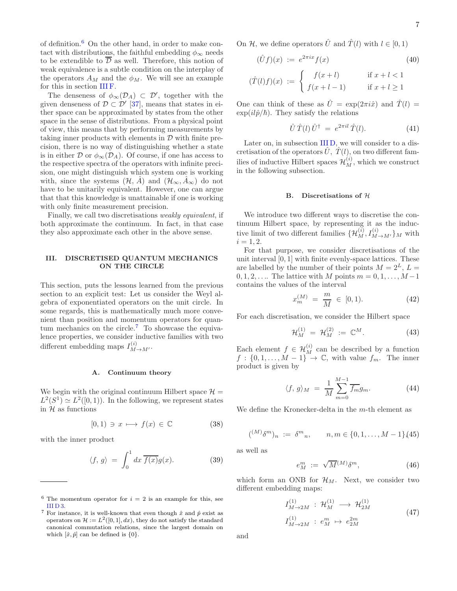of definition. $6$  On the other hand, in order to make contact with distributions, the faithful embedding  $\phi_{\infty}$  needs to be extendible to  $\overline{\mathcal{D}}$  as well. Therefore, this notion of weak equivalence is a subtle condition on the interplay of the operators  $A_M$  and the  $\phi_M$ . We will see an example for this in section [III F.](#page-10-0)

The denseness of  $\phi_{\infty}(\mathcal{D}_A) \subset \mathcal{D}'$ , together with the given denseness of  $\mathcal{D} \subset \mathcal{D}'$  [\[37](#page-15-3)], means that states in either space can be approximated by states from the other space in the sense of distributions. From a physical point of view, this means that by performing measurements by taking inner products with elements in  $\mathcal D$  with finite precision, there is no way of distinguishing whether a state is in either D or  $\phi_{\infty}(\mathcal{D}_A)$ . Of course, if one has access to the respective spectra of the operators with infinite precision, one might distinguish which system one is working with, since the systems  $(\mathcal{H}, \tilde{A})$  and  $(\mathcal{H}_{\infty}, \tilde{A}_{\infty})$  do not have to be unitarily equivalent. However, one can argue that that this knowledge is unattainable if one is working with only finite measurement precision.

Finally, we call two discretisations weakly equivalent, if both approximate the continuum. In fact, in that case they also approximate each other in the above sense.

### <span id="page-6-0"></span>III. DISCRETISED QUANTUM MECHANICS ON THE CIRCLE

This section, puts the lessons learned from the previous section to an explicit test: Let us consider the Weyl algebra of exponentiated operators on the unit circle. In some regards, this is mathematically much more convenient than position and momentum operators for quan-tum mechanics on the circle.<sup>[7](#page-6-2)</sup> To showcase the equivalence properties, we consider inductive families with two different embedding maps  $I_{M \to M'}^{(i)}$ .

### <span id="page-6-6"></span>A. Continuum theory

We begin with the original continuum Hilbert space  $\mathcal{H} =$  $L^2(S^1) \simeq L^2([0,1))$ . In the following, we represent states in  $H$  as functions

$$
[0,1) \ni x \longmapsto f(x) \in \mathbb{C} \tag{38}
$$

with the inner product

$$
\langle f, g \rangle = \int_0^1 dx \, \overline{f(x)} g(x). \tag{39}
$$

On H, we define operators  $\hat{U}$  and  $\hat{T}(l)$  with  $l \in [0, 1)$ 

<span id="page-6-3"></span>
$$
(\hat{U}f)(x) := e^{2\pi ix} f(x) \tag{40}
$$

$$
(\hat{T}(l)f)(x) := \begin{cases} f(x+l) & \text{if } x+l < 1\\ f(x+l-1) & \text{if } x+l \ge 1 \end{cases}
$$

One can think of these as  $\hat{U} = \exp(2\pi i \hat{x})$  and  $\hat{T}(l) =$  $\exp(il\hat{p}/\hbar)$ . They satisfy the relations

<span id="page-6-4"></span>
$$
\hat{U}\,\hat{T}(l)\,\hat{U}^{\dagger} = e^{2\pi i l}\,\hat{T}(l). \tag{41}
$$

Later on, in subsection IIID, we will consider to a discretisation of the operators  $\hat{U}, \hat{T}(l)$ , on two different families of inductive Hilbert spaces  $\mathcal{H}_M^{(i)}$ , which we construct in the following subsection.

### B. Discretisations of  $H$

We introduce two different ways to discretise the continuum Hilbert space, by representing it as the inductive limit of two different families  $\{\mathcal{H}_M^{(i)}, I_{M \to M'}^{(i)}\}_M$  with  $i = 1, 2.$ 

For that purpose, we consider discretisations of the unit interval  $[0, 1]$  with finite evenly-space lattices. These are labelled by the number of their points  $M = 2^L$ ,  $L =$  $0, 1, 2, \ldots$  The lattice with M points  $m = 0, 1, \ldots, M-1$ contains the values of the interval

$$
x_m^{(M)} = \frac{m}{M} \in [0, 1). \tag{42}
$$

For each discretisation, we consider the Hilbert space

$$
\mathcal{H}_M^{(1)} = \mathcal{H}_M^{(2)} := \mathbb{C}^M.
$$
 (43)

Each element  $f \in \mathcal{H}_M^{(i)}$  can be described by a function  $f: \{0, 1, \ldots, M-1\}^m \to \mathbb{C}$ , with value  $f_m$ . The inner product is given by

$$
\langle f, g \rangle_M = \frac{1}{M} \sum_{m=0}^{M-1} \overline{f_m} g_m. \tag{44}
$$

We define the Kronecker-delta in the m-th element as

$$
({}^{(M)}\delta^{m})_{n} := \delta^{m}{}_{n}, \qquad n, m \in \{0, 1, \ldots, M - 1\} (45)
$$

as well as

$$
e_M^m := \sqrt{M}^{(M)} \delta^m, \tag{46}
$$

which form an ONB for  $\mathcal{H}_M$ . Next, we consider two different embedding maps:

<span id="page-6-5"></span>
$$
I_{M \to 2M}^{(1)} : \mathcal{H}_M^{(1)} \longrightarrow \mathcal{H}_{2M}^{(1)}
$$
  
\n
$$
I_{M \to 2M}^{(1)} : e_M^m \mapsto e_{2M}^{2m}
$$
\n(47)

and

<sup>&</sup>lt;sup>6</sup> The momentum operator for  $i = 2$  is an example for this, see  $III<sub>D</sub>3.$ 

<span id="page-6-2"></span><span id="page-6-1"></span><sup>&</sup>lt;sup>7</sup> For instance, it is well-known that even though  $\hat{x}$  and  $\hat{p}$  exist as operators on  $\mathcal{H} := L^2([0,1], dx)$ , they do not satisfy the standard canonical commutation relations, since the largest domain on which  $[\hat{x}, \hat{p}]$  can be defined is  $\{0\}.$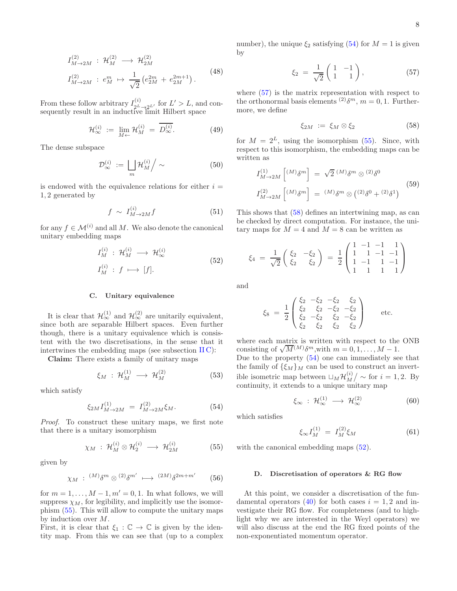<span id="page-7-6"></span>
$$
I_{M \to 2M}^{(2)} : \mathcal{H}_M^{(2)} \longrightarrow \mathcal{H}_{2M}^{(2)}
$$
  
\n
$$
I_{M \to 2M}^{(2)} : e_M^m \mapsto \frac{1}{\sqrt{2}} \left( e_{2M}^{2m} + e_{2M}^{2m+1} \right).
$$
\n(48)

From these follow arbitrary  $I_{2^L \to 2^{L'}}^{(i)}$  for  $L' > L$ , and consequently result in an inductive limit Hilbert space

$$
\mathcal{H}_{\infty}^{(i)} := \lim_{M \leftarrow} \mathcal{H}_M^{(i)} = \overline{D_{\infty}^{(i)}}.
$$
 (49)

The dense subspace

$$
\mathcal{D}_{\infty}^{(i)} := \left. \bigsqcup_{m} \mathcal{H}_{M}^{(i)} \right/ \sim \tag{50}
$$

is endowed with the equivalence relations for either  $i =$ 1, 2 generated by

$$
f \sim I_{M \to 2M}^{(i)} f \tag{51}
$$

for any  $f \in \mathcal{M}^{(i)}$  and all M. We also denote the canonical unitary embedding maps

<span id="page-7-5"></span>
$$
I_M^{(i)}: \mathcal{H}_M^{(i)} \longrightarrow \mathcal{H}_\infty^{(i)}
$$
  
\n
$$
I_M^{(i)}: f \longmapsto [f].
$$
\n(52)

### C. Unitary equivalence

It is clear that  $\mathcal{H}_{\infty}^{(1)}$  and  $\mathcal{H}_{\infty}^{(2)}$  are unitarily equivalent, since both are separable Hilbert spaces. Even further though, there is a unitary equivalence which is consistent with the two discretisations, in the sense that it intertwines the embedding maps (see subsection  $\text{II}(\text{C})$ :

Claim: There exists a family of unitary maps

$$
\xi_M \, : \, \mathcal{H}_M^{(1)} \, \longrightarrow \, \mathcal{H}_M^{(2)} \tag{53}
$$

which satisfy

<span id="page-7-2"></span>
$$
\xi_{2M} I_{M \to 2M}^{(1)} = I_{M \to 2M}^{(2)} \xi_M. \tag{54}
$$

Proof. To construct these unitary maps, we first note that there is a unitary isomorphism

<span id="page-7-1"></span>
$$
\chi_M \, : \, \mathcal{H}_M^{(i)} \otimes \mathcal{H}_2^{(i)} \, \longrightarrow \, \mathcal{H}_{2M}^{(i)} \tag{55}
$$

given by

$$
\chi_M \, : \, {}^{(M)}\delta^m \otimes {}^{(2)}\delta^{m'} \, \longmapsto \, {}^{(2M)}\delta^{2m+m'} \qquad (56)
$$

for  $m = 1, \ldots, M - 1, m' = 0, 1$ . In what follows, we will suppress  $\chi_M$ , for legibility, and implicitly use the isomorphism [\(55\)](#page-7-1). This will allow to compute the unitary maps by induction over M.

First, it is clear that  $\xi_1 : \mathbb{C} \to \mathbb{C}$  is given by the identity map. From this we can see that (up to a complex number), the unique  $\xi_2$  satisfying [\(54\)](#page-7-2) for  $M = 1$  is given by

<span id="page-7-3"></span>
$$
\xi_2 = \frac{1}{\sqrt{2}} \begin{pmatrix} 1 & -1 \\ 1 & 1 \end{pmatrix}, \tag{57}
$$

where [\(57\)](#page-7-3) is the matrix representation with respect to the orthonormal basis elements <sup>(2)</sup> $\delta^m$ ,  $m = 0, 1$ . Furthermore, we define

<span id="page-7-4"></span>
$$
\xi_{2M} := \xi_M \otimes \xi_2 \tag{58}
$$

for  $M = 2^L$ , using the isomorphism [\(55\)](#page-7-1). Since, with respect to this isomorphism, the embedding maps can be written as

$$
I_{M\to 2M}^{(1)} \left[ \begin{array}{c} (M)_{\delta} m \\ \end{array} \right] = \sqrt{2} \, \begin{array}{c} (M)_{\delta} m \\ \end{array} \otimes \begin{array}{c} (2)_{\delta} 0 \\ \end{array} \tag{59}
$$
\n
$$
I_{M\to 2M}^{(2)} \left[ \begin{array}{c} (M)_{\delta} m \\ \end{array} \right] = \begin{array}{c} (M)_{\delta} m \\ \otimes \left( \begin{array}{c} (2)_{\delta} 0 + (2)_{\delta} 1 \end{array} \right) \end{array}
$$

This shows that [\(58\)](#page-7-4) defines an intertwining map, as can be checked by direct computation. For instance, the unitary maps for  $M = 4$  and  $M = 8$  can be written as

$$
\xi_4 = \frac{1}{\sqrt{2}} \begin{pmatrix} \xi_2 & -\xi_2 \\ \xi_2 & \xi_2 \end{pmatrix} = \frac{1}{2} \begin{pmatrix} 1 & -1 & -1 & 1 \\ 1 & 1 & -1 & -1 \\ 1 & -1 & 1 & -1 \\ 1 & 1 & 1 & 1 \end{pmatrix}
$$

and

$$
\xi_8 = \frac{1}{2} \begin{pmatrix} \xi_2 & -\xi_2 & -\xi_2 & \xi_2 \\ \xi_2 & \xi_2 & -\xi_2 & -\xi_2 \\ \xi_2 & -\xi_2 & \xi_2 & -\xi_2 \\ \xi_2 & \xi_2 & \xi_2 & \xi_2 \end{pmatrix} \text{ etc.}
$$

where each matrix is written with respect to the ONB consisting of  $\sqrt{M}^{(M)}\delta^m$ , with  $m = 0, 1, ..., M - 1$ . Due to the property [\(54\)](#page-7-2) one can immediately see that the family of  $\{\xi_M\}_M$  can be used to construct an invertible isometric map between  $\sqcup_M \mathcal{H}_M^{(i)}$  $\binom{v}{M}$  ~ for  $i = 1, 2$ . By continuity, it extends to a unique unitary map

$$
\xi_{\infty} : \mathcal{H}_{\infty}^{(1)} \longrightarrow \mathcal{H}_{\infty}^{(2)} \tag{60}
$$

which satisfies

$$
\xi_{\infty} I_M^{(1)} = I_M^{(2)} \xi_M \tag{61}
$$

with the canonical embedding maps  $(52)$ .

### <span id="page-7-0"></span>D. Discretisation of operators & RG flow

At this point, we consider a discretisation of the fun-damental operators [\(40\)](#page-6-3) for both cases  $i = 1, 2$  and investigate their RG flow. For completeness (and to highlight why we are interested in the Weyl operators) we will also discuss at the end the RG fixed points of the non-exponentiated momentum operator.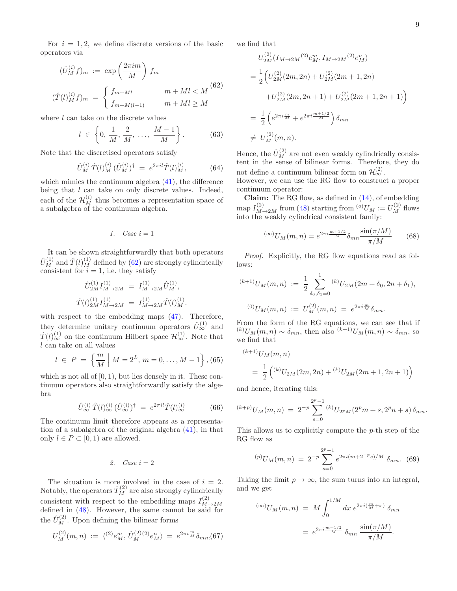For  $i = 1, 2$ , we define discrete versions of the basic operators via

<span id="page-8-0"></span>
$$
(\hat{U}_M^{(i)}f)_m := \exp\left(\frac{2\pi im}{M}\right)f_m
$$
  

$$
(\hat{T}(l)_M^{(i)}f)_m = \begin{cases} f_{m+Ml} & m+Ml < M\\ f_{m+M(l-1)} & m+Ml \ge M \end{cases}
$$
 (62)

where  $l$  can take on the discrete values

$$
l \in \left\{0, \frac{1}{M}, \frac{2}{M}, \dots, \frac{M-1}{M}\right\}.
$$
 (63)

Note that the discretised operators satisfy

$$
\hat{U}_M^{(i)} \hat{T}(l)_M^{(i)} (\hat{U}_M^{(i)})^\dagger = e^{2\pi i l} \hat{T}(l)_M^{(i)}, \tag{64}
$$

which mimics the continuum algebra  $(41)$ , the difference being that *l* can take on only discrete values. Indeed, each of the  $\mathcal{H}_{M}^{(i)}$  thus becomes a representation space of a subalgebra of the continuum algebra.

$$
1. \quad Case \ i=1
$$

It can be shown straightforwardly that both operators  $\hat{U}_{M}^{(1)}$  and  $\hat{T}(l)_{M}^{(1)}$  defined by [\(62\)](#page-8-0) are strongly cylindrically consistent for  $i = 1$ , i.e. they satisfy

$$
\hat{U}_{2M}^{(1)} I_{M \to 2M}^{(1)} = I_{M \to 2M}^{(1)} \hat{U}_M^{(1)},
$$
  

$$
\hat{T}(l)_{2M}^{(1)} I_{M \to 2M}^{(1)} = I_{M \to 2M}^{(1)} \hat{T}(l)_M^{(1)}.
$$

with respect to the embedding maps [\(47\)](#page-6-5). Therefore, they determine unitary continuum operators  $\hat{U}_{\infty}^{(1)}$  and  $\hat{T}(l)_{\infty}^{(1)}$  on the continuum Hilbert space  $\mathcal{H}_{\infty}^{(1)}$ . Note that  $l$  can take on all values

$$
l \in P = \left\{ \frac{m}{M} \mid M = 2^L, m = 0, \dots, M - 1 \right\}, (65)
$$

which is not all of  $[0, 1)$ , but lies densely in it. These continuum operators also straightforwardly satisfy the algebra

$$
\hat{U}_{\infty}^{(i)} \hat{T}(l)_{\infty}^{(i)} (\hat{U}_{\infty}^{(i)})^{\dagger} = e^{2\pi i l} \hat{T}(l)_{\infty}^{(i)} \tag{66}
$$

The continuum limit therefore appears as a representation of a subalgebra of the original algebra [\(41\)](#page-6-4), in that only  $l \in P \subset [0, 1)$  are allowed.

*2. Case* i = 2

The situation is more involved in the case of  $i = 2$ . Notably, the operators  $\hat{T}^{(2)}_{M}$  are also strongly cylindrically consistent with respect to the embedding maps  $I_{M}^{(2)}$ defined in [\(48\)](#page-7-6). However, the same cannot be said for the  $\hat{U}_M^{(2)}$ . Upon defining the bilinear forms

$$
U_M^{(2)}(m,n) := \langle {}^{(2)}e_M^m, \hat{U}_M^{(2)}{}^{(2)}e_M^n \rangle = e^{2\pi i \frac{m}{M}} \delta_{mn}{}_{,0} (67)
$$

we find that

$$
U_{2M}^{(2)}(I_{M\to 2M}{}^{(2)}e_M^m, I_{M\to 2M}{}^{(2)}e_M^n)
$$
  
=  $\frac{1}{2}$   $(U_{2M}^{(2)}(2m, 2n) + U_{2M}^{(2)}(2m + 1, 2n)$   
+ $U_{2M}^{(2)}(2m, 2n + 1) + U_{2M}^{(2)}(2m + 1, 2n + 1)$   
=  $\frac{1}{2}$   $(e^{2\pi i \frac{m}{M}} + e^{2\pi i \frac{m+1}{M}}e^{2\pi i \frac{m+1}{M}}) \delta_{mn}$   
 $\neq U_M^{(2)}(m, n).$ 

Hence, the  $\hat{U}_M^{(2)}$  are not even weakly cylindrically consistent in the sense of bilinear forms. Therefore, they do not define a continuum bilinear form on  $\mathcal{H}^{(2)}_{\infty}$ .

However, we can use the RG flow to construct a proper continuum operator:

Claim: The RG flow, as defined in [\(14\)](#page-2-6), of embedding map  $I_{M\to 2M}^{(2)}$  from [\(48\)](#page-7-6) starting from  ${}^{(o)}U_M:=U_M^{(2)}$  flows into the weakly cylindrical consistent family:

$$
^{(\infty)}U_M(m,n) = e^{2\pi i \frac{m+1/2}{M}} \delta_{mn} \frac{\sin(\pi/M)}{\pi/M}
$$
 (68)

Proof. Explicitly, the RG flow equations read as follows:

$$
^{(k+1)}U_M(m,n) := \frac{1}{2} \sum_{\delta_0, \delta_1 = 0}^1 {}^{(k)}U_{2M}(2m + \delta_0, 2n + \delta_1),
$$
  

$$
^{(0)}U_M(m,n) := U_M^{(2)}(m,n) = e^{2\pi i \frac{m}{M}} \delta_{mn}.
$$

From the form of the RG equations, we can see that if  $(k)U_M(m,n) \sim \delta_{mn}$ , then also  $(k+1)U_M(m,n) \sim \delta_{mn}$ , so we find that

$$
^{(k+1)}U_M(m,n)
$$
  
=  $\frac{1}{2}$  $\left( ^{(k)}U_{2M}(2m,2n) + ^{(k)}U_{2M}(2m+1,2n+1)\right)$ 

and hence, iterating this:

$$
^{(k+p)}U_M(m,n) = 2^{-p} \sum_{s=0}^{2^p-1} {^{(k)}U_{2^pM}(2^pm+s,2^pn+s)\,\delta_{mn}}.
$$

This allows us to explicitly compute the p-th step of the RG flow as

<span id="page-8-1"></span>
$$
{}^{(p)}U_M(m,n) = 2^{-p} \sum_{s=0}^{2^p-1} e^{2\pi i (m+2^{-p}s)/M} \delta_{mn}. \tag{69}
$$

Taking the limit  $p \to \infty$ , the sum turns into an integral, and we get

$$
^{(\infty)}U_M(m,n) = M \int_0^{1/M} dx \, e^{2\pi i \left(\frac{m}{M} + x\right)} \, \delta_{mn}
$$

$$
= e^{2\pi i \frac{m+1/2}{M}} \, \delta_{mn} \, \frac{\sin(\pi/M)}{\pi/M}.
$$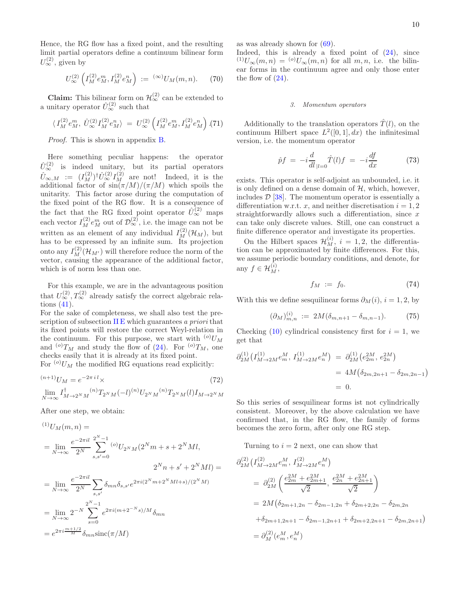Hence, the RG flow has a fixed point, and the resulting limit partial operators define a continuum bilinear form  $U_{\infty}^{(2)}$ , given by

<span id="page-9-2"></span>
$$
U_{\infty}^{(2)}\left(I_M^{(2)}e_M^m, I_M^{(2)}e_M^n\right) := {}^{(\infty)}U_M(m,n). \tag{70}
$$

**Claim:** This bilinear form on  $\mathcal{H}^{(2)}_{\infty}$  can be extended to a unitary operator  $\hat{U}_{\infty}^{(2)}$  such that

$$
\langle I_M^{(2)} e_M^m, \hat{U}_{\infty}^{(2)} I_M^{(2)} e_M^n \rangle = U_{\infty}^{(2)} \left( I_M^{(2)} e_M^m, I_M^{(2)} e_M^n \right) . (71)
$$

Proof. This is shown in appendix [B.](#page-13-1)

Here something peculiar happens: the operator  $\hat{U}_{\infty}^{(2)}$  is indeed unitary, but its partial operators  $\hat{U}_{\infty,M}$  :=  $(I_M^{(2)})^{\dagger} \hat{U}_{\infty}^{(2)} I_M^{(2)}$  are not! Indeed, it is the additional factor of  $\sin(\pi/M)/(\pi/M)$  which spoils the unitarity. This factor arose during the computation of the fixed point of the RG flow. It is a consequence of the fact that the RG fixed point operator  $\hat{U}_{\infty}^{(2)}$  maps each vector  $I_M^{(2)} e_M^m$  out of  $\mathcal{D}_{\infty}^{(2)}$ , i.e. the image can not be written as an element of any individual  $I_M^{(2)}(\mathcal{H}_M)$ , but has to be expressed by an infinite sum. Its projection onto any  $I_M^{(2)}(\mathcal{H}_{M'})$  will therefore reduce the norm of the vector, causing the appearance of the additional factor, which is of norm less than one.

For this example, we are in the advantageous position that  $U_{\infty}^{(2)}$ ,  $T_{\infty}^{(2)}$  already satisfy the correct algebraic relations [\(41\)](#page-6-4).

For the sake of completeness, we shall also test the pre-scription of subsection [II E](#page-4-0) which guarantees a priori that its fixed points will restore the correct Weyl-relation in the continuum. For this purpose, we start with  $^{(o)}U_M$ and  $^{(o)}T_M$  and study the flow of [\(24\)](#page-4-5). For  $^{(o)}T_M$ , one checks easily that it is already at its fixed point. For  $\binom{0}{U_M}$  the modified RG equations read explicitly:

 $(n+1)$ <sub>U</sub>

$$
(n+1)U_M = e^{-2\pi i l} \times \t\t(72)
$$
  

$$
\lim_{N \to \infty} I_{M \to 2^N M}^{\dagger} (n) T_{2^N M} (-l)^{(n)} U_{2^N M}^{(n)} T_{2^N M} (l) I_{M \to 2^N M}
$$

After one step, we obtain:

$$
\begin{aligned}^{(1)}U_M(m,n) &= \\ &= \lim_{N \to \infty} \frac{e^{-2\pi i l}}{2^N} \sum_{s,s'=0}^{2^N - 1} {^{(o)}}U_{2^N M} (2^N m + s + 2^N M l, \\ &2^N n + s' + 2^N M l) = \\ &= \lim_{N \to \infty} \frac{e^{-2\pi i l}}{2^N} \sum_{s,s'} \delta_{mn} \delta_{s,s'} e^{2\pi i (2^N m + 2^N M l + s)/(2^N M)} \\ &= \lim_{N \to \infty} 2^{-N} \sum_{s=0}^{2^N - 1} e^{2\pi i (m + 2^{-N} s)/M} \delta_{mn} \\ &= e^{2\pi i \frac{m + 1/2}{M}} \delta_{mn} \text{sinc}(\pi/M) \end{aligned}
$$

as was already shown for [\(69\)](#page-8-1).

Indeed, this is already a fixed point of  $(24)$ , since  $(1)U_\infty(m,n) = {}^{(o)}U_\infty(m,n)$  for all  $m, n$ , i.e. the bilinear forms in the continuum agree and only those enter the flow of  $(24)$ .

### <span id="page-9-0"></span>*3. Momentum operators*

Additionally to the translation operators  $\hat{T}(l)$ , on the continuum Hilbert space  $L^2([0,1], dx)$  the infinitesimal version, i.e. the momentum operator

$$
\hat{p}f = -i\frac{d}{dl}|_{l=0}\hat{T}(l)f = -i\frac{df}{dx} \tag{73}
$$

exists. This operator is self-adjoint an unbounded, i.e. it is only defined on a dense domain of  $H$ , which, however, includes  $\mathcal{D}$  [\[38\]](#page-15-4). The momentum operator is essentially a differentiation w.r.t. x, and neither discretisation  $i = 1, 2$ straightforwardly allows such a differentiation, since  $x$ can take only discrete values. Still, one can construct a finite difference operator and investigate its properties.

On the Hilbert spaces  $\mathcal{H}_M^{(i)}$ ,  $i = 1, 2$ , the differentiation can be approximated by finite differences. For this, we assume periodic boundary conditions, and denote, for any  $f \in \mathcal{H}_M^{(i)}$ ,

<span id="page-9-1"></span>
$$
f_M \; := \; f_0. \tag{74}
$$

With this we define sesquilinear forms  $\partial_M(i)$ ,  $i = 1, 2$ , by

$$
(\partial_M)_{m,n}^{(i)} := 2M(\delta_{m,n+1} - \delta_{m,n-1}). \tag{75}
$$

Checking [\(10\)](#page-2-5) cylindrical consistency first for  $i = 1$ , we get that

$$
\partial_{2M}^{(1)} \left( I_{M \to 2M}^{(1)} e_m^M, I_{M \to 2M}^{(1)} e_n^M \right) = \partial_{2M}^{(1)} \left( e_{2m}^{2M}, e_{2n}^{2M} \right)
$$
  
= 4M \left( \delta\_{2m,2n+1} - \delta\_{2m,2n-1} \right)  
= 0.

So this series of sesquilinear forms ist not cylindrically consistent. Moreover, by the above calculation we have confirmed that, in the RG flow, the family of forms becomes the zero form, after only one RG step.

Turning to  $i = 2$  next, one can show that

$$
\partial_{2M}^{(2)} (I_{M \to 2M}^{(2)} e_m^M, I_{M \to 2M}^{(2)} e_n^M)
$$
\n
$$
= \partial_{2M}^{(2)} \left( \frac{e_{2m}^{2M} + e_{2m+1}^{2M}}{\sqrt{2}}, \frac{e_{2m}^{2M} + e_{2m+1}^{2M}}{\sqrt{2}} \right)
$$
\n
$$
= 2M \left( \delta_{2m+1, 2n} - \delta_{2m-1, 2n} + \delta_{2m+2, 2n} - \delta_{2m, 2n} \right)
$$
\n
$$
+ \delta_{2m+1, 2n+1} - \delta_{2m-1, 2n+1} + \delta_{2m+2, 2n+1} - \delta_{2m, 2n+1}
$$
\n
$$
= \partial_M^{(2)} (e_m^M, e_n^M)
$$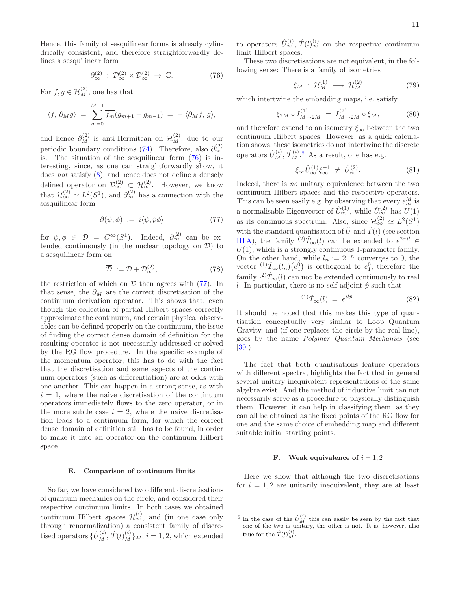Hence, this family of sesquilinear forms is already cylindrically consistent, and therefore straightforwardly defines a sesquilinear form

<span id="page-10-1"></span>
$$
\partial_{\infty}^{(2)} : \mathcal{D}_{\infty}^{(2)} \times \mathcal{D}_{\infty}^{(2)} \to \mathbb{C}.
$$
 (76)

For  $f, g \in \mathcal{H}_M^{(2)}$ , one has that

$$
\langle f, \, \partial_M g \rangle \ = \ \sum_{m=0}^{M-1} \overline{f_m} (g_{m+1} - g_{m-1}) \ = \ - \ \langle \partial_M f, \, g \rangle,
$$

and hence  $\partial_M^{(2)}$  is anti-Hermitean on  $\mathcal{H}_M^{(2)}$ , due to our periodic boundary conditions [\(74\)](#page-9-1). Therefore, also  $\partial_{\infty}^{(2)}$ is. The situation of the sesquilinear form [\(76\)](#page-10-1) is interesting, since, as one can straightforwardly show, it does  $not$  satisfy  $(8)$ , and hence does not define a densely defined operator on  $\mathcal{D}_{\infty}^{(2)} \subset \mathcal{H}_{\infty}^{(2)}$ . However, we know that  $\mathcal{H}_{\infty}^{(2)} \simeq L^2(S^1)$ , and  $\partial_{\infty}^{(2)}$  has a connection with the sesquilinear form

<span id="page-10-2"></span>
$$
\partial(\psi,\phi) := i\langle\psi,\hat{p}\phi\rangle \tag{77}
$$

for  $\psi, \phi \in \mathcal{D} = C^{\infty}(S^1)$ . Indeed,  $\partial_{\infty}^{(2)}$  can be extended continuously (in the nuclear topology on  $\mathcal{D}$ ) to a sesquilinear form on

<span id="page-10-4"></span>
$$
\overline{\mathcal{D}} := \mathcal{D} + \mathcal{D}_{\infty}^{(2)},\tag{78}
$$

the restriction of which on  $D$  then agrees with  $(77)$ . In that sense, the  $\partial_M$  are the correct discretisation of the continuum derivation operator. This shows that, even though the collection of partial Hilbert spaces correctly approximate the continuum, and certain physical observables can be defined properly on the continuum, the issue of finding the correct dense domain of definition for the resulting operator is not necessarily addressed or solved by the RG flow procedure. In the specific example of the momentum operator, this has to do with the fact that the discretisation and some aspects of the continuum operators (such as differentiation) are at odds with one another. This can happen in a strong sense, as with  $i = 1$ , where the naive discretisation of the continuum operators immediately flows to the zero operator, or in the more subtle case  $i = 2$ , where the naive discretisation leads to a continuum form, for which the correct dense domain of definition still has to be found, in order to make it into an operator on the continuum Hilbert space.

### E. Comparison of continuum limits

So far, we have considered two different discretisations of quantum mechanics on the circle, and considered their respective continuum limits. In both cases we obtained continuum Hilbert spaces  $\mathcal{H}_{\infty}^{(i)}$ , and (in one case only through renormalization) a consistent family of discretised operators  $\{\hat{U}_M^{(i)}, \hat{T}(l)_M^{(i)}\}_M$ ,  $i = 1, 2$ , which extended

to operators  $\hat{U}_{\infty}^{(i)}$ ,  $\hat{T}(l)_{\infty}^{(i)}$  on the respective continuum limit Hilbert spaces.

These two discretisations are not equivalent, in the following sense: There is a family of isometries

$$
\xi_M \, : \, \mathcal{H}_M^{(1)} \, \longrightarrow \, \mathcal{H}_M^{(2)} \tag{79}
$$

which intertwine the embedding maps, i.e. satisfy

$$
\xi_{2M} \circ I_{M \to 2M}^{(1)} = I_{M \to 2M}^{(2)} \circ \xi_M, \tag{80}
$$

and therefore extend to an isometry  $\xi_{\infty}$  between the two continuum Hilbert spaces. However, as a quick calculation shows, these isometries do not intertwine the discrete operators  $\hat{U}_M^{(i)}$ ,  $\hat{T}_M^{(i)}$ .<sup>[8](#page-10-3)</sup> As a result, one has e.g.

$$
\xi_{\infty}\hat{U}_{\infty}^{(1)}\xi_{\infty}^{-1} \neq \hat{U}_{\infty}^{(2)}.
$$
 (81)

Indeed, there is no unitary equivalence between the two continuum Hilbert spaces and the respective operators. This can be seen easily e.g. by observing that every  $e_m^M$  is a normalisable Eigenvector of  $\hat{U}_{\infty}^{(1)}$ , while  $\hat{U}_{\infty}^{(2)}$  has  $U(1)$ as its continuous spectrum. Also, since  $\mathcal{H}_{\infty}^{(2)} \simeq L^2(S^1)$ with the standard quantisation of  $\hat{U}$  and  $\hat{T}(l)$  (see section [III A\)](#page-6-6), the family <sup>(2)</sup> $\hat{T}_{\infty}(l)$  can be extended to  $e^{2\pi il} \in$  $U(1)$ , which is a strongly continuous 1-parameter family. On the other hand, while  $l_n := 2^{-n}$  converges to 0, the vector  ${}^{(1)}\hat{T}_{\infty}(l_n)(e_1^0)$  is orthogonal to  $e_1^0$ , therefore the family  $\langle 2 \rangle \hat{T}_{\infty}(l)$  can not be extended continuously to real l. In particular, there is no self-adjoint  $\hat{p}$  such that

$$
^{(1)}\hat{T}_{\infty}(l) = e^{il\hat{p}}.\tag{82}
$$

It should be noted that this makes this type of quantisation conceptually very similar to Loop Quantum Gravity, and (if one replaces the circle by the real line), goes by the name Polymer Quantum Mechanics (see [\[39\]](#page-15-5)).

The fact that both quantisations feature operators with different spectra, highlights the fact that in general several unitary inequivalent representations of the same algebra exist. And the method of inductive limit can not necessarily serve as a procedure to physically distinguish them. However, it can help in classifying them, as they can all be obtained as the fixed points of the RG flow for one and the same choice of embedding map and different suitable initial starting points.

#### <span id="page-10-0"></span>**F.** Weak equivalence of  $i = 1, 2$

Here we show that although the two discretisations for  $i = 1, 2$  are unitarily inequivalent, they are at least

<span id="page-10-3"></span><sup>&</sup>lt;sup>8</sup> In the case of the  $\hat{U}_{M}^{(i)}$  this can easily be seen by the fact that one of the two is unitary, the other is not. It is, however, also true for the  $\hat{T}(l)_{M}^{(i)}$ .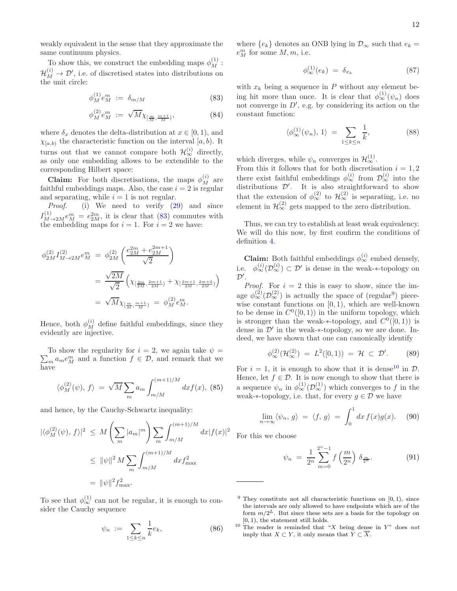weakly equivalent in the sense that they approximate the same continuum physics.

To show this, we construct the embedding maps  $\phi_M^{(1)}$ :  $\mathcal{H}_{M}^{(i)} \to \mathcal{D}'$ , i.e. of discretised states into distributions on the unit circle:

<span id="page-11-0"></span>
$$
\phi_M^{(1)} e_M^m := \delta_{m/M} \tag{83}
$$

$$
\phi_M^{(2)} e_M^m := \sqrt{M} \chi_{\left[\frac{m}{M}, \frac{m+1}{M}\right]}, \tag{84}
$$

where  $\delta_x$  denotes the delta-distribution at  $x \in [0, 1)$ , and  $\chi_{[a,b)}$  the characteristic function on the interval  $[a, b)$ . It turns out that we cannot compare both  $\mathcal{H}^{(i)}_{\infty}$  directly, as only one embedding allows to be extendible to the corresponding Hilbert space:

**Claim:** For both discretisations, the maps  $\phi_M^{(i)}$  are faithful embeddings maps. Also, the case  $i = 2$  is regular and separating, while  $i = 1$  is not regular.

Proof. (i) We need to verify [\(29\)](#page-5-2) and since  $I_{M\rightarrow 2M}^{(1)}e_M^m = e_{2M}^{2m}$ , it is clear that [\(83\)](#page-11-0) commutes with the embedding maps for  $i = 1$ . For  $i = 2$  we have:

$$
\begin{split} \phi_{2M}^{(2)} I_{M \to 2M}^{(2)} e_M^m &= \phi_{2M}^{(2)} \left( \frac{e_{2M}^{2m} + e_{2M}^{2m+1}}{\sqrt{2}} \right) \\ &= \frac{\sqrt{2M}}{\sqrt{2}} \left( \chi_{\left[\frac{2m}{2M}, \frac{2m+1}{2M}\right)} + \chi_{\left[\frac{2m+1}{2M}, \frac{2m+2}{2M}\right)} \right) \\ &= \sqrt{M} \chi_{\left[\frac{m}{M}, \frac{m+1}{M}\right)} = \phi_M^{(2)} e_M^m. \end{split}
$$

Hence, both  $\phi_M^{(i)}$  define faithful embeddings, since they evidently are injective.

 $\sum_{m} a_m e_M^m$  and a function  $f \in \mathcal{D}$ , and remark that we To show the regularity for  $i = 2$ , we again take  $\psi =$ have

$$
\langle \phi_M^{(2)}(\psi), f \rangle = \sqrt{M} \sum_m a_m \int_{m/M}^{(m+1)/M} dx f(x), \text{ (85)}
$$

and hence, by the Cauchy-Schwartz inequality:

$$
|\langle \phi_M^{(2)}(\psi), f \rangle|^2 \le M \left( \sum_m |a_m|^m \right) \sum_m \int_{m/M}^{(m+1)/M} dx |f(x)|^2
$$
  

$$
\le ||\psi||^2 M \sum_m \int_{m/M}^{(m+1)/M} dx f_{\text{max}}^2
$$
  

$$
= ||\psi||^2 f_{\text{max}}^2.
$$

To see that  $\phi_{\infty}^{(1)}$  can not be regular, it is enough to consider the Cauchy sequence

$$
\psi_n := \sum_{1 \le k \le n} \frac{1}{k} e_k,\tag{86}
$$

where  ${e_k}$  denotes an ONB lying in  $\mathcal{D}_{\infty}$  such that  $e_k =$  $e_M^m$  for some  $M, m$ , i.e.

$$
\phi_{\infty}^{(1)}(e_k) = \delta_{x_k} \tag{87}
$$

with  $x_k$  being a sequence in P without any element being hit more than once. It is clear that  $\phi_{\infty}^{(1)}(\psi_n)$  does not converge in  $D'$ , e.g. by considering its action on the constant function:

$$
\langle \phi_{\infty}^{(1)}(\psi_n), 1 \rangle = \sum_{1 \le k \le n} \frac{1}{k}, \tag{88}
$$

which diverges, while  $\psi_n$  converges in  $\mathcal{H}^{(1)}_{\infty}$ .

From this it follows that for both discretisation  $i = 1, 2$ there exist faithful embeddings  $\phi_{\infty}^{(i)}$  from  $\mathcal{D}_{\infty}^{(i)}$  into the distributions  $\mathcal{D}'$ . It is also straightforward to show that the extension of  $\phi_{\infty}^{(2)}$  to  $\mathcal{H}_{\infty}^{(2)}$  is separating, i.e. no element in  $\mathcal{H}_{\infty}^{(2)}$  gets mapped to the zero distribution.

Thus, we can try to establish at least weak equivalency. We will do this now, by first confirm the conditions of definition [4.](#page-5-3)

**Claim:** Both faithful embeddings  $\phi_{\infty}^{(i)}$  embed densely, i.e.  $\phi_{\infty}^{(i)}(\mathcal{D}_{\infty}^{(i)}) \subset \mathcal{D}'$  is dense in the weak-\*-topology on  $\mathcal{D}^{\prime}$ .

*Proof.* For  $i = 2$  this is easy to show, since the image  $\phi_{\infty}^{(2)}(\mathcal{D}_{\infty}^{(2)})$  is actually the space of (regular<sup>[9](#page-11-1)</sup>) piecewise constant functions on  $[0, 1)$ , which are well-known to be dense in  $C^0([0,1))$  in the uniform topology, which is stronger than the weak-∗-topology, and  $C^0([0,1))$  is dense in  $\mathcal{D}'$  in the weak- $*$ -topology, so we are done. Indeed, we have shown that one can canonically identify

$$
\phi_{\infty}^{(2)}(\mathcal{H}_{\infty}^{(2)}) = L^{2}([0,1)) = \mathcal{H} \subset \mathcal{D}'.
$$
 (89)

For  $i = 1$ , it is enough to show that it is dense<sup>[10](#page-11-2)</sup> in  $\mathcal{D}$ . Hence, let  $f \in \mathcal{D}$ . It is now enough to show that there is a sequence  $\psi_n$  in  $\phi_{\infty}^{(1)}(\mathcal{D}_{\infty}^{(1)})$  which converges to f in the weak-∗-topology, i.e. that, for every  $g \in \mathcal{D}$  we have

$$
\lim_{n \to \infty} \langle \psi_n, g \rangle = \langle f, g \rangle = \int_0^1 dx f(x) g(x). \quad (90)
$$

For this we choose

$$
\psi_n = \frac{1}{2^n} \sum_{m=0}^{2^n - 1} f\left(\frac{m}{2^n}\right) \delta_{\frac{m}{2^n}}.
$$
 (91)

<span id="page-11-2"></span><sup>10</sup> The reader is reminded that "X being dense in Y" does not imply that  $X \subset Y$ , it only means that  $\widetilde{Y} \subset \overline{X}$ .

<span id="page-11-1"></span> $9$  They constitute not all characteristic functions on  $[0, 1)$ , since the intervals are only allowed to have endpoints which are of the form  $m/2^L$ . But since these sets are a basis for the topology on [0, 1), the statement still holds.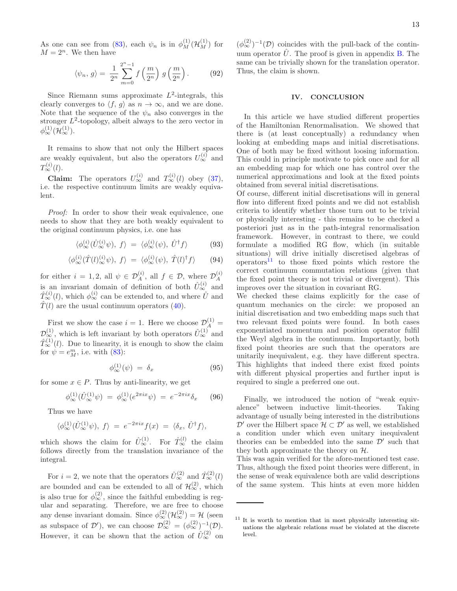As one can see from [\(83\)](#page-11-0), each  $\psi_n$  is in  $\phi_M^{(1)}(\mathcal{H}_M^{(1)})$  for  $M = 2<sup>n</sup>$ . We then have

$$
\langle \psi_n, g \rangle = \frac{1}{2^n} \sum_{m=0}^{2^n - 1} f\left(\frac{m}{2^n}\right) g\left(\frac{m}{2^n}\right). \tag{92}
$$

Since Riemann sums approximate  $L^2$ -integrals, this clearly converges to  $\langle f, g \rangle$  as  $n \to \infty$ , and we are done. Note that the sequence of the  $\psi_n$  also converges in the stronger  $L^2$ -topology, albeit always to the zero vector in  $\phi_\infty^{(1)}(\mathcal{H}_\infty^{(1)})$ .

It remains to show that not only the Hilbert spaces are weakly equivalent, but also the operators  $U_{\infty}^{(i)}$  and  $T^{(i)}_{\infty}(l)$ .

**Claim:** The operators  $U_{\infty}^{(i)}$  and  $T_{\infty}^{(i)}(l)$  obey [\(37\)](#page-5-4), i.e. the respective continuum limits are weakly equivalent.

Proof: In order to show their weak equivalence, one needs to show that they are both weakly equivalent to the original continuum physics, i.e. one has

$$
\langle \phi_{\infty}^{(i)}(\hat{U}_{\infty}^{(i)}\psi), f \rangle = \langle \phi_{\infty}^{(i)}(\psi), \hat{U}^{\dagger}f \rangle \tag{93}
$$

$$
\langle \phi_{\infty}^{(i)}(\hat{T}(l)_{\infty}^{(i)}\psi), f \rangle = \langle \phi_{\infty}^{(i)}(\psi), \hat{T}(l)^{\dagger}f \rangle \qquad (94)
$$

for either  $i = 1, 2$ , all  $\psi \in \mathcal{D}_A^{(i)}$ , all  $f \in \mathcal{D}$ , where  $\mathcal{D}_A^{(i)}$ is an invariant domain of definition of both  $\hat{U}_{\infty}^{(i)}$  and  $\hat{T}_{\infty}^{(i)}(l)$ , which  $\phi_{\infty}^{(i)}$  can be extended to, and where  $\hat{U}$  and  $\hat{T}(l)$  are the usual continuum operators [\(40\)](#page-6-3).

First we show the case  $i = 1$ . Here we choose  $\mathcal{D}_A^{(1)} =$  $\mathcal{D}_{\infty}^{(1)}$ , which is left invariant by both operators  $\hat{U}_{\infty}^{(1)}$  and  $\hat{T}_{\infty}^{(1)}(l)$ . Due to linearity, it is enough to show the claim for  $\psi = e^m_M$ , i.e. with [\(83\)](#page-11-0):

$$
\phi_{\infty}^{(1)}(\psi) = \delta_x \tag{95}
$$

for some  $x \in P$ . Thus by anti-linearity, we get

$$
\phi_{\infty}^{(1)}(\hat{U}_{\infty}^{(1)}\psi) = \phi_{\infty}^{(1)}(e^{2\pi ix}\psi) = e^{-2\pi ix}\delta_x \qquad (96)
$$

Thus we have

$$
\langle \phi_{\infty}^{(1)}(\hat{U}_{\infty}^{(1)}\psi), f \rangle = e^{-2\pi ix}f(x) = \langle \delta_x, \hat{U}^{\dagger}f \rangle,
$$

which shows the claim for  $\hat{U}_{\infty}^{(1)}$ . For  $\hat{T}_{\infty}^{(l)}$  the claim follows directly from the translation invariance of the integral.

For  $i = 2$ , we note that the operators  $\hat{U}_{\infty}^{(2)}$  and  $\hat{T}_{\infty}^{(2)}(l)$ are bounded and can be extended to all of  $\mathcal{H}^{(2)}_{\infty}$ , which is also true for  $\phi_{\infty}^{(2)}$ , since the faithful embedding is regular and separating. Therefore, we are free to choose any dense invariant domain. Since  $\phi_{\infty}^{(2)}(\mathcal{H}_{\infty}^{(2)}) = \mathcal{H}$  (seen as subspace of  $\mathcal{D}'$ ), we can choose  $\mathcal{D}_{\infty}^{(2)} = (\phi_{\infty}^{(2)})^{-1}(\mathcal{D})$ . However, it can be shown that the action of  $\hat{U}_{\infty}^{(2)}$  on

 $(\phi_{\infty}^{(2)})^{-1}(\mathcal{D})$  coincides with the pull-back of the continuum operator  $\hat{U}$ . The proof is given in appendix [B.](#page-13-1) The same can be trivially shown for the translation operator. Thus, the claim is shown.

### <span id="page-12-0"></span>IV. CONCLUSION

In this article we have studied different properties of the Hamiltonian Renormalisation. We showed that there is (at least conceptually) a redundancy when looking at embedding maps and initial discretisations. One of both may be fixed without loosing information. This could in principle motivate to pick once and for all an embedding map for which one has control over the numerical approximations and look at the fixed points obtained from several initial discretisations.

Of course, different initial discretisations will in general flow into different fixed points and we did not establish criteria to identify whether those turn out to be trivial or physically interesting - this remains to be checked a posteriori just as in the path-integral renormalisation framework. However, in contrast to there, we could formulate a modified RG flow, which (in suitable situations) will drive initially discretised algebras of operators $11$  to those fixed points which restore the correct continuum commutation relations (given that the fixed point theory is not trivial or divergent). This improves over the situation in covariant RG.

We checked these claims explicitly for the case of quantum mechanics on the circle: we proposed an initial discretisation and two embedding maps such that two relevant fixed points were found. In both cases exponentiated momentum and position operator fulfil the Weyl algebra in the continuum. Importantly, both fixed point theories are such that the operators are unitarily inequivalent, e.g. they have different spectra. This highlights that indeed there exist fixed points with different physical properties and further input is required to single a preferred one out.

Finally, we introduced the notion of "weak equivalence" between inductive limit-theories. Taking advantage of usually being interested in the distributions  $\mathcal{D}'$  over the Hilbert space  $\mathcal{H} \subset \mathcal{D}'$  as well, we established a condition under which even unitary inequivalent theories can be embedded into the same  $\mathcal{D}'$  such that they both approximate the theory on  $H$ .

This was again verified for the afore-mentioned test case. Thus, although the fixed point theories were different, in the sense of weak equivalence both are valid descriptions of the same system. This hints at even more hidden

<span id="page-12-1"></span><sup>&</sup>lt;sup>11</sup> It is worth to mention that in most physically interesting situations the algebraic relations must be violated at the discrete level.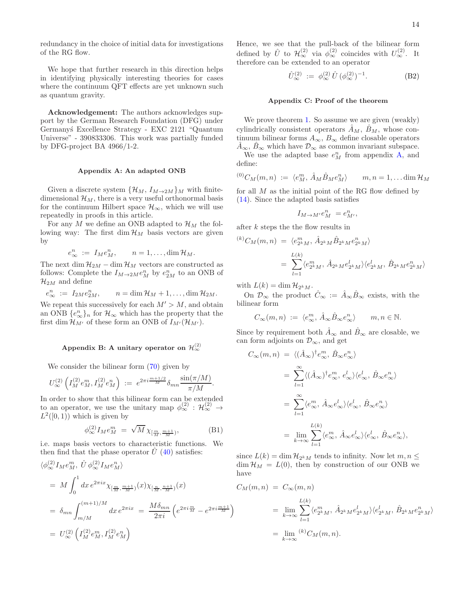redundancy in the choice of initial data for investigations of the RG flow.

We hope that further research in this direction helps in identifying physically interesting theories for cases where the continuum QFT effects are yet unknown such as quantum gravity.

Acknowledgement: The authors acknowledges support by the German Research Foundation (DFG) under Germany´s Excellence Strategy - EXC 2121 "Quantum Universe" - 390833306. This work was partially funded by DFG-project BA 4966/1-2.

#### <span id="page-13-2"></span>Appendix A: An adapted ONB

Given a discrete system  $\{\mathcal{H}_M, I_{M\to 2M}\}\$ M with finitedimensional  $\mathcal{H}_M$ , there is a very useful orthonormal basis for the continuum Hilbert space  $\mathcal{H}_{\infty}$ , which we will use repeatedly in proofs in this article.

For any M we define an ONB adapted to  $\mathcal{H}_M$  the following way: The first dim  $\mathcal{H}_M$  basis vectors are given by

$$
e^n_{\infty} := I_M e^n_M, \qquad n = 1, \dots, \dim \mathcal{H}_M.
$$

The next dim  $\mathcal{H}_{2M}$  – dim  $\mathcal{H}_M$  vectors are constructed as follows: Complete the  $I_{M\to 2M}e_M^n$  by  $e_{2M}^n$  to an ONB of  $\mathcal{H}_{2M}$  and define

$$
e_{\infty}^n := I_{2M}e_{2M}^n, \qquad n = \dim \mathcal{H}_M + 1, \ldots, \dim \mathcal{H}_{2M}.
$$

We repeat this successively for each  $M' > M$ , and obtain an ONB  $\{e_{\infty}^n\}_n$  for  $\mathcal{H}_{\infty}$  which has the property that the first dim  $\mathcal{H}_{M'}$  of these form an ONB of  $I_{M'}(\mathcal{H}_{M'})$ .

## <span id="page-13-1"></span>Appendix B: A unitary operator on  $\mathcal{H}^{(2)}_{\infty}$

We consider the bilinear form  $(70)$  given by

$$
U_{\infty}^{(2)}\left(I_M^{(2)}e_M^m, I_M^{(2)}e_M^n\right) \;:=\; e^{2\pi i \frac{m+1/2}{M}} \delta_{mn} \frac{\sin(\pi/M)}{\pi/M}.
$$

In order to show that this bilinear form can be extended to an operator, we use the unitary map  $\phi_{\infty}^{(2)}$  :  $\mathcal{H}_{\infty}^{(2)}$   $\rightarrow$  $L^2([0,1))$  which is given by

$$
\phi_{\infty}^{(2)} I_M e_M^m = \sqrt{M} \, \chi_{\left[\frac{m}{M}, \frac{m+1}{M}\right)},\tag{B1}
$$

i.e. maps basis vectors to characteristic functions. We then find that the phase operator  $\hat{U}$  [\(40\)](#page-6-3) satisfies:

$$
\langle \phi_{\infty}^{(2)} I_M e_M^m, \hat{U} \phi_{\infty}^{(2)} I_M e_M^n \rangle
$$
  
=  $M \int_0^1 dx \, e^{2\pi i x} \chi_{[\frac{m}{M}, \frac{m+1}{M}]}(x) \chi_{[\frac{n}{M}, \frac{n+1}{M}]}(x)$   
=  $\delta_{mn} \int_{m/M}^{(m+1)/M} dx \, e^{2\pi i x} = \frac{M \delta_{mn}}{2\pi i} \left( e^{2\pi i \frac{m}{M}} - e^{2\pi i \frac{m+1}{M}} \right)$   
=  $U_{\infty}^{(2)} \left( I_M^{(2)} e_M^m, I_M^{(2)} e_M^n \right)$ 

Hence, we see that the pull-back of the bilinear form defined by  $\hat{U}$  to  $\mathcal{H}_{\infty}^{(2)}$  via  $\phi_{\infty}^{(2)}$  coincides with  $U_{\infty}^{(2)}$ . It therefore can be extended to an operator

$$
\hat{U}_{\infty}^{(2)} := \phi_{\infty}^{(2)} \hat{U} \, (\phi_{\infty}^{(2)})^{-1}.
$$
 (B2)

### <span id="page-13-0"></span>Appendix C: Proof of the theorem

We prove theorem [1.](#page-3-2) So assume we are given (weakly) cylindrically consistent operators  $\hat{A}_M$ ,  $\hat{B}_M$ , whose continuum bilinear forms  $A_{\infty}$ ,  $B_{\infty}$  define closable operators  $\overline{A}_{\infty}, \overline{B}_{\infty}$  which have  $\mathcal{D}_{\infty}$  as common invariant subspace.

We use the adapted base  $e_M^n$  from appendix [A,](#page-13-2) and define:

$$
^{(0)}C_M(m,n) := \langle e_M^m, \hat{A}_M \hat{B}_M e_M^n \rangle \qquad m, n = 1, \dots \dim \mathcal{H}_M
$$

for all  $M$  as the initial point of the RG flow defined by [\(14\)](#page-2-6). Since the adapted basis satisfies

$$
I_{M\to M'}e_M^n\ = e_{M'}^n,
$$

after k steps the the flow results in

$$
\langle k \rangle C_M(m,n) = \langle e_{2^k M}^m, \hat{A}_{2^k M} \hat{B}_{2^k M} e_{2^k M}^n \rangle
$$
  
= 
$$
\sum_{l=1}^{L(k)} \langle e_{2^k M}^m, \hat{A}_{2^k M} e_{2^k M}^l \rangle \langle e_{2^k M}^l, \hat{B}_{2^k M} e_{2^k M}^n \rangle
$$

with  $L(k) = \dim \mathcal{H}_{2^k M}$ .

On  $\mathcal{D}_{\infty}$  the product  $\hat{C}_{\infty} := \hat{A}_{\infty} \hat{B}_{\infty}$  exists, with the bilinear form

$$
C_{\infty}(m, n) := \langle e_{\infty}^m, \hat{A}_{\infty} \hat{B}_{\infty} e_{\infty}^n \rangle \qquad m, n \in \mathbb{N}.
$$

Since by requirement both  $\hat{A}_{\infty}$  and  $\hat{B}_{\infty}$  are closable, we can form adjoints on  $\mathcal{D}_{\infty}$ , and get

$$
C_{\infty}(m, n) = \langle (\hat{A}_{\infty})^{\dagger} e_{\infty}^{m}, \hat{B}_{\infty} e_{\infty}^{n} \rangle
$$
  
\n
$$
= \sum_{l=1}^{\infty} \langle (\hat{A}_{\infty})^{\dagger} e_{\infty}^{m}, e_{\infty}^{l} \rangle \langle e_{\infty}^{l}, \hat{B}_{\infty} e_{\infty}^{n} \rangle
$$
  
\n
$$
= \sum_{l=1}^{\infty} \langle e_{\infty}^{m}, \hat{A}_{\infty} e_{\infty}^{l} \rangle \langle e_{\infty}^{l}, \hat{B}_{\infty} e_{\infty}^{n} \rangle
$$
  
\n
$$
= \lim_{k \to \infty} \sum_{l=1}^{L(k)} \langle e_{\infty}^{m}, \hat{A}_{\infty} e_{\infty}^{l} \rangle \langle e_{\infty}^{l}, \hat{B}_{\infty} e_{\infty}^{n} \rangle,
$$

since  $L(k) = \dim \mathcal{H}_{2kM}$  tends to infinity. Now let  $m, n \leq$  $\dim \mathcal{H}_M = L(0)$ , then by construction of our ONB we have

$$
C_M(m, n) = C_{\infty}(m, n)
$$
  
=  $\lim_{k \to \infty} \sum_{l=1}^{L(k)} \langle e_{2^k M}^m, \hat{A}_{2^k M} e_{2^k M}^l \rangle \langle e_{2^k M}^l, \hat{B}_{2^k M} e_{2^k M}^n \rangle$   
=  $\lim_{k \to \infty} {}^{(k)}C_M(m, n).$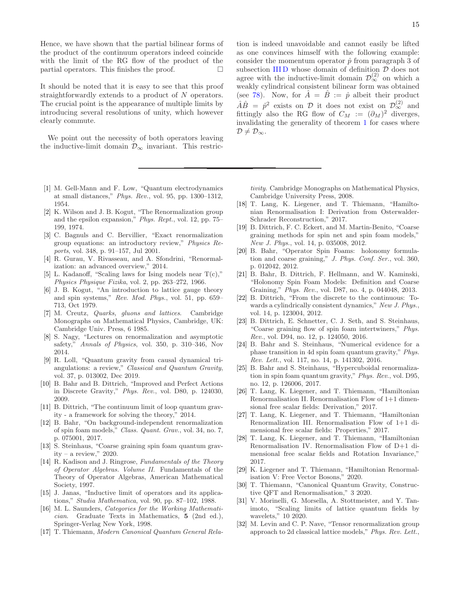Hence, we have shown that the partial bilinear forms of the product of the continuum operators indeed coincide with the limit of the RG flow of the product of the partial operators. This finishes the proof.  $\Box$ 

It should be noted that it is easy to see that this proof straightforwardly extends to a product of N operators. The crucial point is the appearance of multiple limits by introducing several resolutions of unity, which however clearly commute.

We point out the necessity of both operators leaving the inductive-limit domain  $\mathcal{D}_\infty$  invariant. This restric-

- <span id="page-14-0"></span>[1] M. Gell-Mann and F. Low, "Quantum electrodynamics at small distances," *Phys. Rev.*, vol. 95, pp. 1300–1312, 1954.
- <span id="page-14-1"></span>[2] K. Wilson and J. B. Kogut, "The Renormalization group and the epsilon expansion," *Phys. Rept.*, vol. 12, pp. 75– 199, 1974.
- <span id="page-14-2"></span>[3] C. Bagnuls and C. Bervillier, "Exact renormalization group equations: an introductory review," *Physics Reports*, vol. 348, p. 91–157, Jul 2001.
- <span id="page-14-3"></span>[4] R. Gurau, V. Rivasseau, and A. Sfondrini, "Renormalization: an advanced overview," 2014.
- <span id="page-14-4"></span>[5] L. Kadanoff, "Scaling laws for Ising models near  $T(c)$ ," *Physics Physique Fizika*, vol. 2, pp. 263–272, 1966.
- [6] J. B. Kogut, "An introduction to lattice gauge theory and spin systems," *Rev. Mod. Phys.*, vol. 51, pp. 659– 713, Oct 1979.
- <span id="page-14-5"></span>[7] M. Creutz, *Quarks, gluons and lattices*. Cambridge Monographs on Mathematical Physics, Cambridge, UK: Cambridge Univ. Press, 6 1985.
- <span id="page-14-6"></span>[8] S. Nagy, "Lectures on renormalization and asymptotic safety," *Annals of Physics*, vol. 350, p. 310–346, Nov 2014.
- [9] R. Loll, "Quantum gravity from causal dynamical triangulations: a review," *Classical and Quantum Gravity*, vol. 37, p. 013002, Dec 2019.
- <span id="page-14-14"></span>[10] B. Bahr and B. Dittrich, "Improved and Perfect Actions in Discrete Gravity," *Phys. Rev.*, vol. D80, p. 124030, 2009.
- <span id="page-14-10"></span>[11] B. Dittrich, "The continuum limit of loop quantum gravity - a framework for solving the theory," 2014.
- <span id="page-14-11"></span>[12] B. Bahr, "On background-independent renormalization of spin foam models," *Class. Quant. Grav.*, vol. 34, no. 7, p. 075001, 2017.
- <span id="page-14-7"></span>[13] S. Steinhaus, "Coarse graining spin foam quantum gravity – a review,"  $2020$ .
- <span id="page-14-8"></span>[14] R. Kadison and J. Ringrose, *Fundamentals of the Theory of Operator Algebras. Volume II*. Fundamentals of the Theory of Operator Algebras, American Mathematical Society, 1997.
- [15] J. Janas, "Inductive limit of operators and its applications," *Studia Mathematica*, vol. 90, pp. 87–102, 1988.
- [16] M. L. Saunders, *Categories for the Working Mathematician*. Graduate Texts in Mathematics, 5 (2nd ed.), Springer-Verlag New York, 1998.
- [17] T. Thiemann, *Modern Canonical Quantum General Rela-*

tion is indeed unavoidable and cannot easily be lifted as one convinces himself with the following example: consider the momentum operator  $\hat{p}$  from paragraph 3 of subsection [III D](#page-7-0) whose domain of definition  $D$  does not agree with the inductive-limit domain  $\mathcal{D}_{\infty}^{(2)}$  on which a weakly cylindrical consistent bilinear form was obtained (see [78\)](#page-10-4). Now, for  $\hat{A} = \hat{B} := \hat{p}$  albeit their product  $\hat{A}\hat{B} = \hat{p}^2$  exists on  $\mathcal{D}$  it does not exist on  $\mathcal{D}_{\infty}^{(2)}$  and fittingly also the RG flow of  $C_M := (\partial_M)^2$  diverges, invalidating the generality of theorem [1](#page-3-2) for cases where  $\mathcal{D} \neq \mathcal{D}_{\infty}$ .

*tivity*. Cambridge Monographs on Mathematical Physics, Cambridge University Press, 2008.

- <span id="page-14-9"></span>[18] T. Lang, K. Liegener, and T. Thiemann, "Hamiltonian Renormalisation I: Derivation from Osterwalder-Schrader Reconstruction," 2017.
- [19] B. Dittrich, F. C. Eckert, and M. Martin-Benito, "Coarse graining methods for spin net and spin foam models," *New J. Phys.*, vol. 14, p. 035008, 2012.
- [20] B. Bahr, "Operator Spin Foams: holonomy formulation and coarse graining," *J. Phys. Conf. Ser.*, vol. 360, p. 012042, 2012.
- [21] B. Bahr, B. Dittrich, F. Hellmann, and W. Kaminski, "Holonomy Spin Foam Models: Definition and Coarse Graining," *Phys. Rev.*, vol. D87, no. 4, p. 044048, 2013.
- [22] B. Dittrich, "From the discrete to the continuous: Towards a cylindrically consistent dynamics," *New J. Phys.*, vol. 14, p. 123004, 2012.
- [23] B. Dittrich, E. Schnetter, C. J. Seth, and S. Steinhaus, "Coarse graining flow of spin foam intertwiners," *Phys. Rev.*, vol. D94, no. 12, p. 124050, 2016.
- [24] B. Bahr and S. Steinhaus, "Numerical evidence for a phase transition in 4d spin foam quantum gravity," *Phys. Rev. Lett.*, vol. 117, no. 14, p. 141302, 2016.
- [25] B. Bahr and S. Steinhaus, "Hypercuboidal renormalization in spin foam quantum gravity," *Phys. Rev.*, vol. D95, no. 12, p. 126006, 2017.
- [26] T. Lang, K. Liegener, and T. Thiemann, "Hamiltonian Renormalisation II. Renormalisation Flow of 1+1 dimensional free scalar fields: Derivation," 2017.
- [27] T. Lang, K. Liegener, and T. Thiemann, "Hamiltonian Renormalization III. Renormalisation Flow of 1+1 dimensional free scalar fields: Properties," 2017.
- [28] T. Lang, K. Liegener, and T. Thiemann, "Hamiltonian Renormalisation IV. Renormalisation Flow of D+1 dimensional free scalar fields and Rotation Invariance," 2017.
- [29] K. Liegener and T. Thiemann, "Hamiltonian Renormalisation V: Free Vector Bosons," 2020.
- [30] T. Thiemann, "Canonical Quantum Gravity, Constructive QFT and Renormalisation," 3 2020.
- <span id="page-14-12"></span>[31] V. Morinelli, G. Morsella, A. Stottmeister, and Y. Tanimoto, "Scaling limits of lattice quantum fields by wavelets," 10 2020.
- <span id="page-14-13"></span>[32] M. Levin and C. P. Nave, "Tensor renormalization group approach to 2d classical lattice models," *Phys. Rev. Lett.*,